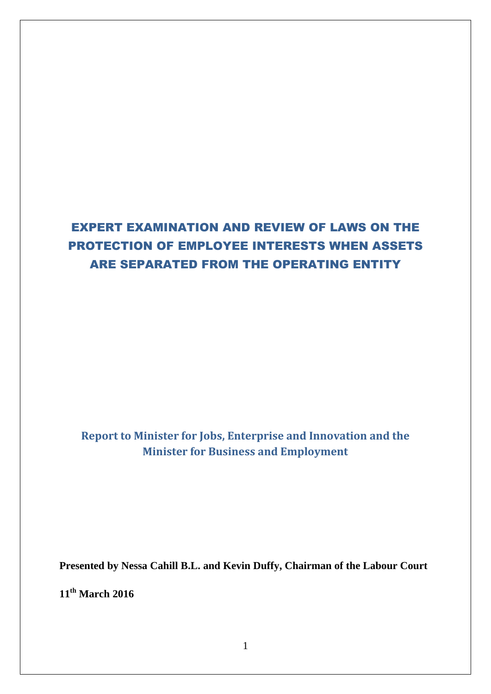# EXPERT EXAMINATION AND REVIEW OF LAWS ON THE PROTECTION OF EMPLOYEE INTERESTS WHEN ASSETS ARE SEPARATED FROM THE OPERATING ENTITY

**Report to Minister for Jobs, Enterprise and Innovation and the Minister for Business and Employment** 

**Presented by Nessa Cahill B.L. and Kevin Duffy, Chairman of the Labour Court** 

**11th March 2016**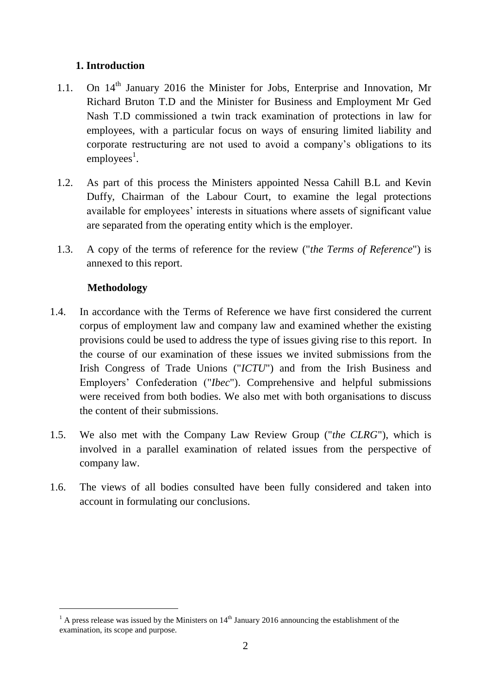# **1. Introduction**

- 1.1. On 14<sup>th</sup> January 2016 the Minister for Jobs, Enterprise and Innovation, Mr Richard Bruton T.D and the Minister for Business and Employment Mr Ged Nash T.D commissioned a twin track examination of protections in law for employees, with a particular focus on ways of ensuring limited liability and corporate restructuring are not used to avoid a company's obligations to its  $employes<sup>1</sup>$ .
- 1.2. As part of this process the Ministers appointed Nessa Cahill B.L and Kevin Duffy, Chairman of the Labour Court, to examine the legal protections available for employees' interests in situations where assets of significant value are separated from the operating entity which is the employer.
- 1.3. A copy of the terms of reference for the review ("*the Terms of Reference*") is annexed to this report.

# **Methodology**

- 1.4. In accordance with the Terms of Reference we have first considered the current corpus of employment law and company law and examined whether the existing provisions could be used to address the type of issues giving rise to this report. In the course of our examination of these issues we invited submissions from the Irish Congress of Trade Unions ("*ICTU*") and from the Irish Business and Employers' Confederation ("*Ibec*"). Comprehensive and helpful submissions were received from both bodies. We also met with both organisations to discuss the content of their submissions.
- 1.5. We also met with the Company Law Review Group ("*the CLRG*"), which is involved in a parallel examination of related issues from the perspective of company law.
- 1.6. The views of all bodies consulted have been fully considered and taken into account in formulating our conclusions.

 $1 \text{ A}$  press release was issued by the Ministers on  $14^{\text{th}}$  January 2016 announcing the establishment of the examination, its scope and purpose.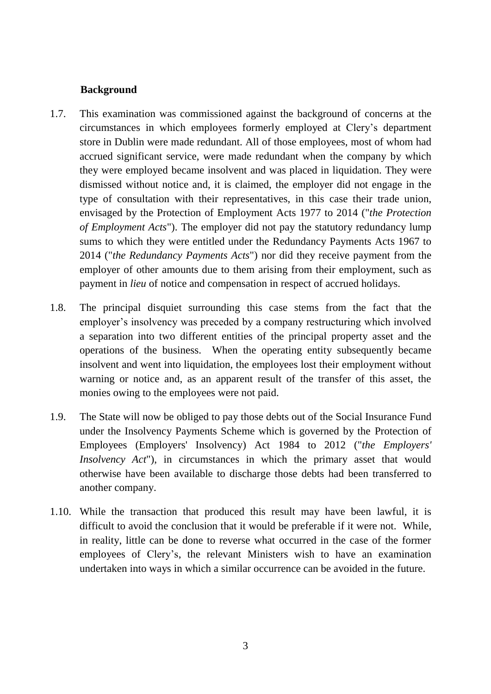### **Background**

- 1.7. This examination was commissioned against the background of concerns at the circumstances in which employees formerly employed at Clery's department store in Dublin were made redundant. All of those employees, most of whom had accrued significant service, were made redundant when the company by which they were employed became insolvent and was placed in liquidation. They were dismissed without notice and, it is claimed, the employer did not engage in the type of consultation with their representatives, in this case their trade union, envisaged by the Protection of Employment Acts 1977 to 2014 ("*the Protection of Employment Acts*"). The employer did not pay the statutory redundancy lump sums to which they were entitled under the Redundancy Payments Acts 1967 to 2014 ("*the Redundancy Payments Acts*") nor did they receive payment from the employer of other amounts due to them arising from their employment, such as payment in *lieu* of notice and compensation in respect of accrued holidays.
- 1.8. The principal disquiet surrounding this case stems from the fact that the employer's insolvency was preceded by a company restructuring which involved a separation into two different entities of the principal property asset and the operations of the business. When the operating entity subsequently became insolvent and went into liquidation, the employees lost their employment without warning or notice and, as an apparent result of the transfer of this asset, the monies owing to the employees were not paid.
- 1.9. The State will now be obliged to pay those debts out of the Social Insurance Fund under the Insolvency Payments Scheme which is governed by the Protection of Employees (Employers' Insolvency) Act 1984 to 2012 ("*the Employers' Insolvency Act*"), in circumstances in which the primary asset that would otherwise have been available to discharge those debts had been transferred to another company.
- 1.10. While the transaction that produced this result may have been lawful, it is difficult to avoid the conclusion that it would be preferable if it were not. While, in reality, little can be done to reverse what occurred in the case of the former employees of Clery's, the relevant Ministers wish to have an examination undertaken into ways in which a similar occurrence can be avoided in the future.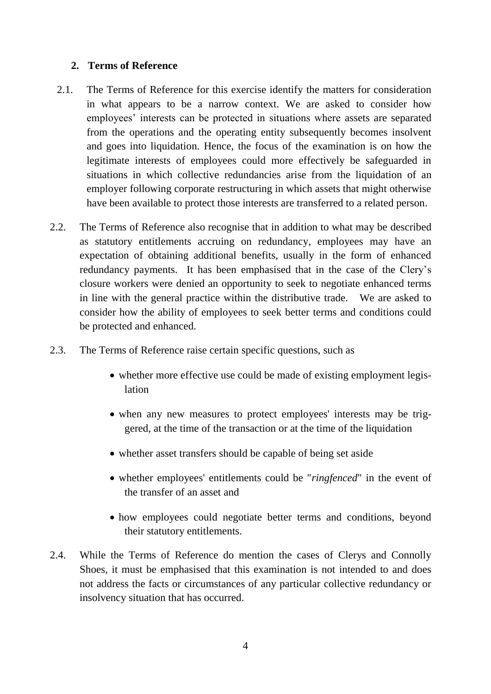### **2. Terms of Reference**

- 2.1. The Terms of Reference for this exercise identify the matters for consideration in what appears to be a narrow context. We are asked to consider how employees' interests can be protected in situations where assets are separated from the operations and the operating entity subsequently becomes insolvent and goes into liquidation. Hence, the focus of the examination is on how the legitimate interests of employees could more effectively be safeguarded in situations in which collective redundancies arise from the liquidation of an employer following corporate restructuring in which assets that might otherwise have been available to protect those interests are transferred to a related person.
- 2.2. The Terms of Reference also recognise that in addition to what may be described as statutory entitlements accruing on redundancy, employees may have an expectation of obtaining additional benefits, usually in the form of enhanced redundancy payments. It has been emphasised that in the case of the Clery's closure workers were denied an opportunity to seek to negotiate enhanced terms in line with the general practice within the distributive trade. We are asked to consider how the ability of employees to seek better terms and conditions could be protected and enhanced.
- 2.3. The Terms of Reference raise certain specific questions, such as
	- whether more effective use could be made of existing employment legislation
	- when any new measures to protect employees' interests may be triggered, at the time of the transaction or at the time of the liquidation
	- whether asset transfers should be capable of being set aside
	- whether employees' entitlements could be "*ringfenced*" in the event of the transfer of an asset and
	- how employees could negotiate better terms and conditions, beyond their statutory entitlements.
- 2.4. While the Terms of Reference do mention the cases of Clerys and Connolly Shoes, it must be emphasised that this examination is not intended to and does not address the facts or circumstances of any particular collective redundancy or insolvency situation that has occurred.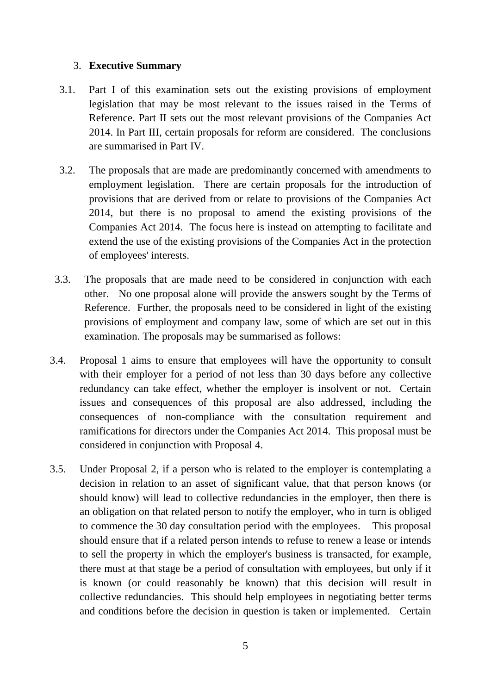### 3. **Executive Summary**

- 3.1. Part I of this examination sets out the existing provisions of employment legislation that may be most relevant to the issues raised in the Terms of Reference. Part II sets out the most relevant provisions of the Companies Act 2014. In Part III, certain proposals for reform are considered. The conclusions are summarised in Part IV.
- 3.2. The proposals that are made are predominantly concerned with amendments to employment legislation. There are certain proposals for the introduction of provisions that are derived from or relate to provisions of the Companies Act 2014, but there is no proposal to amend the existing provisions of the Companies Act 2014. The focus here is instead on attempting to facilitate and extend the use of the existing provisions of the Companies Act in the protection of employees' interests.
- 3.3. The proposals that are made need to be considered in conjunction with each other. No one proposal alone will provide the answers sought by the Terms of Reference. Further, the proposals need to be considered in light of the existing provisions of employment and company law, some of which are set out in this examination. The proposals may be summarised as follows:
- 3.4. Proposal 1 aims to ensure that employees will have the opportunity to consult with their employer for a period of not less than 30 days before any collective redundancy can take effect, whether the employer is insolvent or not. Certain issues and consequences of this proposal are also addressed, including the consequences of non-compliance with the consultation requirement and ramifications for directors under the Companies Act 2014. This proposal must be considered in conjunction with Proposal 4.
- 3.5. Under Proposal 2, if a person who is related to the employer is contemplating a decision in relation to an asset of significant value, that that person knows (or should know) will lead to collective redundancies in the employer, then there is an obligation on that related person to notify the employer, who in turn is obliged to commence the 30 day consultation period with the employees. This proposal should ensure that if a related person intends to refuse to renew a lease or intends to sell the property in which the employer's business is transacted, for example, there must at that stage be a period of consultation with employees, but only if it is known (or could reasonably be known) that this decision will result in collective redundancies. This should help employees in negotiating better terms and conditions before the decision in question is taken or implemented. Certain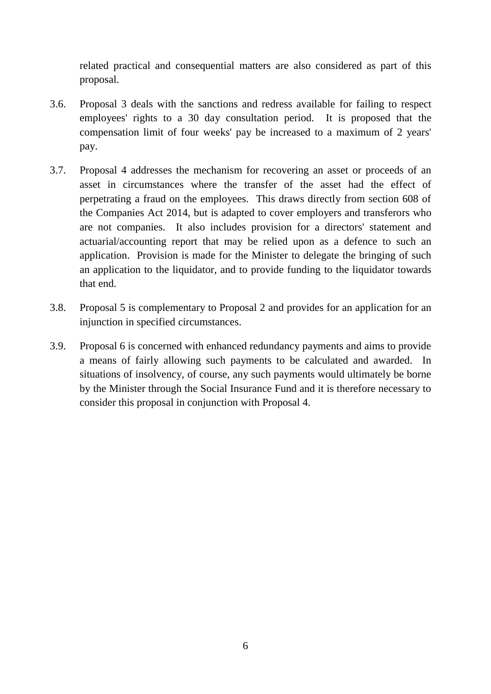related practical and consequential matters are also considered as part of this proposal.

- 3.6. Proposal 3 deals with the sanctions and redress available for failing to respect employees' rights to a 30 day consultation period. It is proposed that the compensation limit of four weeks' pay be increased to a maximum of 2 years' pay.
- 3.7. Proposal 4 addresses the mechanism for recovering an asset or proceeds of an asset in circumstances where the transfer of the asset had the effect of perpetrating a fraud on the employees. This draws directly from section 608 of the Companies Act 2014, but is adapted to cover employers and transferors who are not companies. It also includes provision for a directors' statement and actuarial/accounting report that may be relied upon as a defence to such an application. Provision is made for the Minister to delegate the bringing of such an application to the liquidator, and to provide funding to the liquidator towards that end.
- 3.8. Proposal 5 is complementary to Proposal 2 and provides for an application for an injunction in specified circumstances.
- 3.9. Proposal 6 is concerned with enhanced redundancy payments and aims to provide a means of fairly allowing such payments to be calculated and awarded. In situations of insolvency, of course, any such payments would ultimately be borne by the Minister through the Social Insurance Fund and it is therefore necessary to consider this proposal in conjunction with Proposal 4.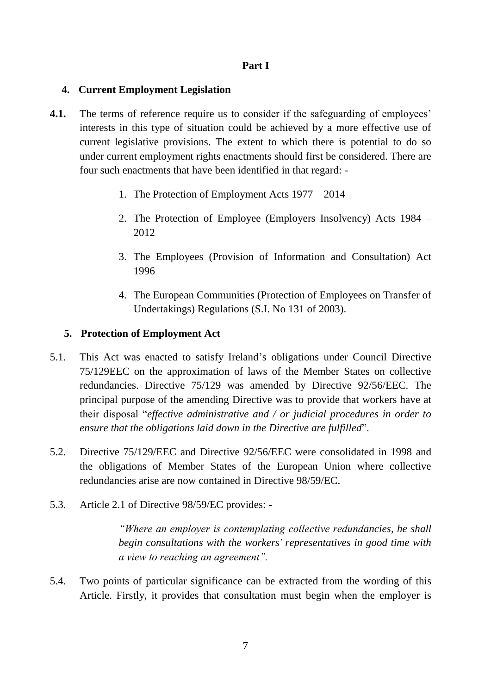# **Part I**

# **4. Current Employment Legislation**

- **4.1.** The terms of reference require us to consider if the safeguarding of employees' interests in this type of situation could be achieved by a more effective use of current legislative provisions. The extent to which there is potential to do so under current employment rights enactments should first be considered. There are four such enactments that have been identified in that regard: -
	- 1. The Protection of Employment Acts 1977 2014
	- 2. The Protection of Employee (Employers Insolvency) Acts 1984 2012
	- 3. The Employees (Provision of Information and Consultation) Act 1996
	- 4. The European Communities (Protection of Employees on Transfer of Undertakings) Regulations (S.I. No 131 of 2003).

# **5. Protection of Employment Act**

- 5.1. This Act was enacted to satisfy Ireland's obligations under Council Directive 75/129EEC on the approximation of laws of the Member States on collective redundancies. Directive 75/129 was amended by Directive 92/56/EEC. The principal purpose of the amending Directive was to provide that workers have at their disposal "*effective administrative and / or judicial procedures in order to ensure that the obligations laid down in the Directive are fulfilled*".
- 5.2. Directive 75/129/EEC and Directive 92/56/EEC were consolidated in 1998 and the obligations of Member States of the European Union where collective redundancies arise are now contained in Directive 98/59/EC.
- 5.3. Article 2.1 of Directive 98/59/EC provides: -

*"Where an employer is contemplating collective redundancies, he shall begin consultations with the workers' representatives in good time with a view to reaching an agreement".*

5.4. Two points of particular significance can be extracted from the wording of this Article. Firstly, it provides that consultation must begin when the employer is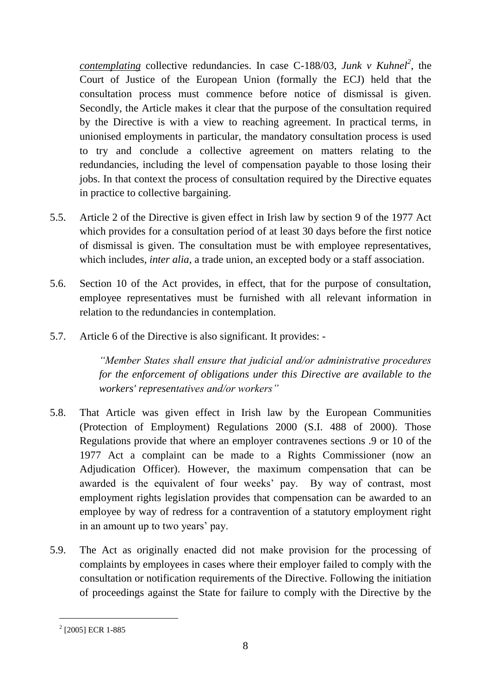*contemplating* collective redundancies. In case C-188/03, *Junk v Kuhnel<sup>2</sup>* , the Court of Justice of the European Union (formally the ECJ) held that the consultation process must commence before notice of dismissal is given. Secondly, the Article makes it clear that the purpose of the consultation required by the Directive is with a view to reaching agreement. In practical terms, in unionised employments in particular, the mandatory consultation process is used to try and conclude a collective agreement on matters relating to the redundancies, including the level of compensation payable to those losing their jobs. In that context the process of consultation required by the Directive equates in practice to collective bargaining.

- 5.5. Article 2 of the Directive is given effect in Irish law by section 9 of the 1977 Act which provides for a consultation period of at least 30 days before the first notice of dismissal is given. The consultation must be with employee representatives, which includes, *inter alia*, a trade union, an excepted body or a staff association.
- 5.6. Section 10 of the Act provides, in effect, that for the purpose of consultation, employee representatives must be furnished with all relevant information in relation to the redundancies in contemplation.
- 5.7. Article 6 of the Directive is also significant. It provides: -

*"Member States shall ensure that judicial and/or administrative procedures for the enforcement of obligations under this Directive are available to the workers' representatives and/or workers"*

- 5.8. That Article was given effect in Irish law by the European Communities (Protection of Employment) Regulations 2000 (S.I. 488 of 2000). Those Regulations provide that where an employer contravenes sections .9 or 10 of the 1977 Act a complaint can be made to a Rights Commissioner (now an Adjudication Officer). However, the maximum compensation that can be awarded is the equivalent of four weeks' pay. By way of contrast, most employment rights legislation provides that compensation can be awarded to an employee by way of redress for a contravention of a statutory employment right in an amount up to two years' pay.
- 5.9. The Act as originally enacted did not make provision for the processing of complaints by employees in cases where their employer failed to comply with the consultation or notification requirements of the Directive. Following the initiation of proceedings against the State for failure to comply with the Directive by the

 $2$  [2005] ECR 1-885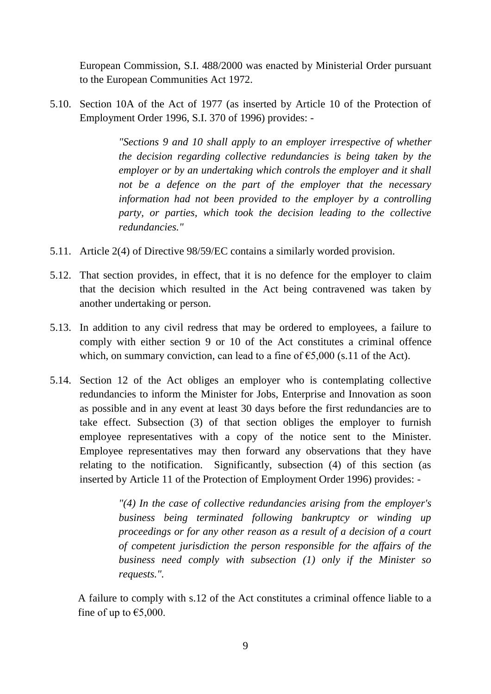European Commission, S.I. 488/2000 was enacted by Ministerial Order pursuant to the European Communities Act 1972.

5.10. Section 10A of the Act of 1977 (as inserted by Article 10 of the Protection of Employment Order 1996, S.I. 370 of 1996) provides: -

> *"Sections 9 and 10 shall apply to an employer irrespective of whether the decision regarding collective redundancies is being taken by the employer or by an undertaking which controls the employer and it shall not be a defence on the part of the employer that the necessary information had not been provided to the employer by a controlling party, or parties, which took the decision leading to the collective redundancies."*

- 5.11. Article 2(4) of Directive 98/59/EC contains a similarly worded provision.
- 5.12. That section provides, in effect, that it is no defence for the employer to claim that the decision which resulted in the Act being contravened was taken by another undertaking or person.
- 5.13. In addition to any civil redress that may be ordered to employees, a failure to comply with either section 9 or 10 of the Act constitutes a criminal offence which, on summary conviction, can lead to a fine of  $\epsilon$ 5,000 (s.11 of the Act).
- 5.14. Section 12 of the Act obliges an employer who is contemplating collective redundancies to inform the Minister for Jobs, Enterprise and Innovation as soon as possible and in any event at least 30 days before the first redundancies are to take effect. Subsection (3) of that section obliges the employer to furnish employee representatives with a copy of the notice sent to the Minister. Employee representatives may then forward any observations that they have relating to the notification. Significantly, subsection (4) of this section (as inserted by Article 11 of the Protection of Employment Order 1996) provides: -

*"(4) In the case of collective redundancies arising from the employer's business being terminated following bankruptcy or winding up proceedings or for any other reason as a result of a decision of a court of competent jurisdiction the person responsible for the affairs of the business need comply with subsection (1) only if the Minister so requests.".*

A failure to comply with s.12 of the Act constitutes a criminal offence liable to a fine of up to  $\epsilon$ 5,000.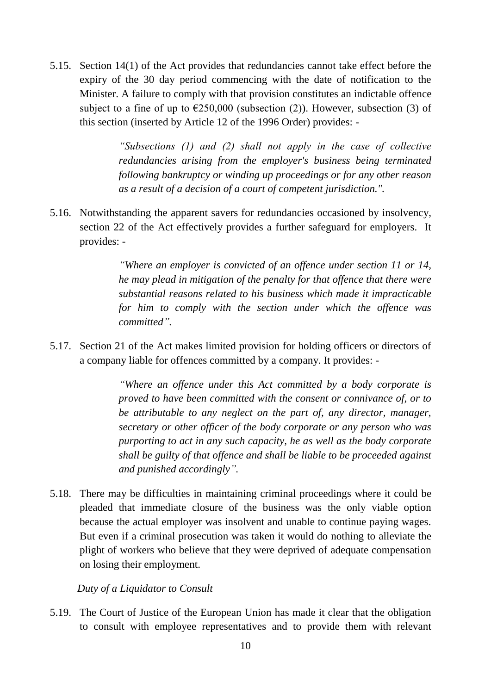5.15. Section 14(1) of the Act provides that redundancies cannot take effect before the expiry of the 30 day period commencing with the date of notification to the Minister. A failure to comply with that provision constitutes an indictable offence subject to a fine of up to  $\epsilon$ 250,000 (subsection (2)). However, subsection (3) of this section (inserted by Article 12 of the 1996 Order) provides: -

> *"Subsections (1) and (2) shall not apply in the case of collective redundancies arising from the employer's business being terminated following bankruptcy or winding up proceedings or for any other reason as a result of a decision of a court of competent jurisdiction.".*

5.16. Notwithstanding the apparent savers for redundancies occasioned by insolvency, section 22 of the Act effectively provides a further safeguard for employers. It provides: -

> *"Where an employer is convicted of an offence under section 11 or 14, he may plead in mitigation of the penalty for that offence that there were substantial reasons related to his business which made it impracticable for him to comply with the section under which the offence was committed".*

5.17. Section 21 of the Act makes limited provision for holding officers or directors of a company liable for offences committed by a company. It provides: -

> *"Where an offence under this Act committed by a body corporate is proved to have been committed with the consent or connivance of, or to be attributable to any neglect on the part of, any director, manager, secretary or other officer of the body corporate or any person who was purporting to act in any such capacity, he as well as the body corporate shall be guilty of that offence and shall be liable to be proceeded against and punished accordingly".*

5.18. There may be difficulties in maintaining criminal proceedings where it could be pleaded that immediate closure of the business was the only viable option because the actual employer was insolvent and unable to continue paying wages. But even if a criminal prosecution was taken it would do nothing to alleviate the plight of workers who believe that they were deprived of adequate compensation on losing their employment.

### *Duty of a Liquidator to Consult*

5.19. The Court of Justice of the European Union has made it clear that the obligation to consult with employee representatives and to provide them with relevant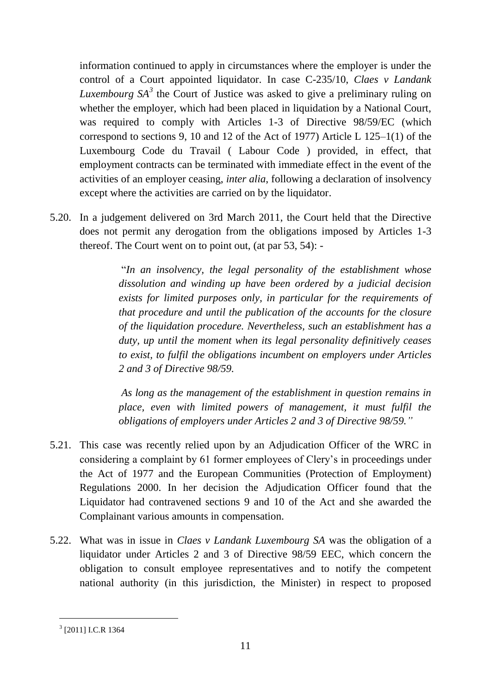information continued to apply in circumstances where the employer is under the control of a Court appointed liquidator. In case C-235/10, *Claes v Landank Luxembourg SA<sup>3</sup>* the Court of Justice was asked to give a preliminary ruling on whether the employer, which had been placed in liquidation by a National Court, was required to comply with Articles 1-3 of Directive 98/59/EC (which correspond to sections 9, 10 and 12 of the Act of 1977) Article L 125–1(1) of the Luxembourg Code du Travail ( Labour Code ) provided, in effect, that employment contracts can be terminated with immediate effect in the event of the activities of an employer ceasing, *inter alia*, following a declaration of insolvency except where the activities are carried on by the liquidator.

5.20. In a judgement delivered on 3rd March 2011, the Court held that the Directive does not permit any derogation from the obligations imposed by Articles 1-3 thereof. The Court went on to point out, (at par 53, 54): -

> "*In an insolvency, the legal personality of the establishment whose dissolution and winding up have been ordered by a judicial decision exists for limited purposes only, in particular for the requirements of that procedure and until the publication of the accounts for the closure of the liquidation procedure. Nevertheless, such an establishment has a duty, up until the moment when its legal personality definitively ceases to exist, to fulfil the obligations incumbent on employers under Articles 2 and 3 of Directive 98/59.*

> *As long as the management of the establishment in question remains in place, even with limited powers of management, it must fulfil the obligations of employers under Articles 2 and 3 of Directive 98/59."*

- 5.21. This case was recently relied upon by an Adjudication Officer of the WRC in considering a complaint by 61 former employees of Clery's in proceedings under the Act of 1977 and the European Communities (Protection of Employment) Regulations 2000. In her decision the Adjudication Officer found that the Liquidator had contravened sections 9 and 10 of the Act and she awarded the Complainant various amounts in compensation.
- 5.22. What was in issue in *Claes v Landank Luxembourg SA* was the obligation of a liquidator under Articles 2 and 3 of Directive 98/59 EEC, which concern the obligation to consult employee representatives and to notify the competent national authority (in this jurisdiction, the Minister) in respect to proposed

<sup>&</sup>lt;sup>3</sup> [2011] I.C.R 1364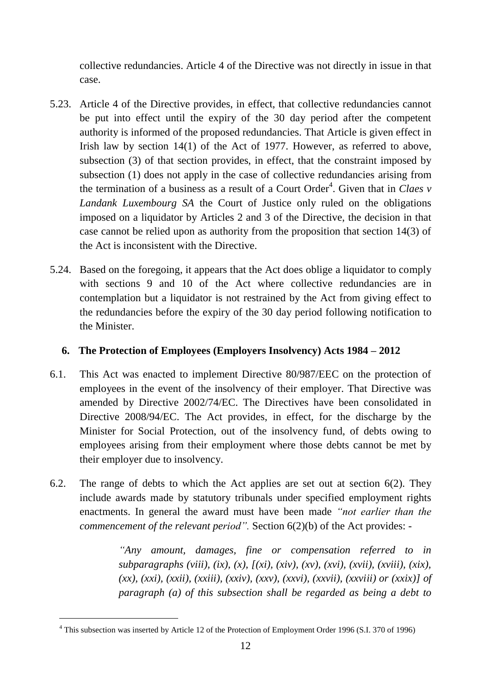collective redundancies. Article 4 of the Directive was not directly in issue in that case.

- 5.23. Article 4 of the Directive provides, in effect, that collective redundancies cannot be put into effect until the expiry of the 30 day period after the competent authority is informed of the proposed redundancies. That Article is given effect in Irish law by section 14(1) of the Act of 1977. However, as referred to above, subsection (3) of that section provides, in effect, that the constraint imposed by subsection (1) does not apply in the case of collective redundancies arising from the termination of a business as a result of a Court Order<sup>4</sup>. Given that in *Claes*  $\nu$ *Landank Luxembourg SA* the Court of Justice only ruled on the obligations imposed on a liquidator by Articles 2 and 3 of the Directive, the decision in that case cannot be relied upon as authority from the proposition that section 14(3) of the Act is inconsistent with the Directive.
- 5.24. Based on the foregoing, it appears that the Act does oblige a liquidator to comply with sections 9 and 10 of the Act where collective redundancies are in contemplation but a liquidator is not restrained by the Act from giving effect to the redundancies before the expiry of the 30 day period following notification to the Minister.

# **6. The Protection of Employees (Employers Insolvency) Acts 1984 – 2012**

- 6.1. This Act was enacted to implement Directive 80/987/EEC on the protection of employees in the event of the insolvency of their employer. That Directive was amended by Directive 2002/74/EC. The Directives have been consolidated in Directive 2008/94/EC. The Act provides, in effect, for the discharge by the Minister for Social Protection, out of the insolvency fund, of debts owing to employees arising from their employment where those debts cannot be met by their employer due to insolvency.
- 6.2. The range of debts to which the Act applies are set out at section 6(2). They include awards made by statutory tribunals under specified employment rights enactments. In general the award must have been made *"not earlier than the commencement of the relevant period".* Section 6(2)(b) of the Act provides: -

*"Any amount, damages, fine or compensation referred to in subparagraphs (viii), (ix), (x), [(xi), (xiv), (xv), (xvi), (xvii), (xviii), (xix), (xx), (xxi), (xxii), (xxiii), (xxiv), (xxv), (xxvi), (xxvii), (xxviii) or (xxix)] of paragraph (a) of this subsection shall be regarded as being a debt to* 

<sup>4</sup> This subsection was inserted by Article 12 of the Protection of Employment Order 1996 (S.I. 370 of 1996)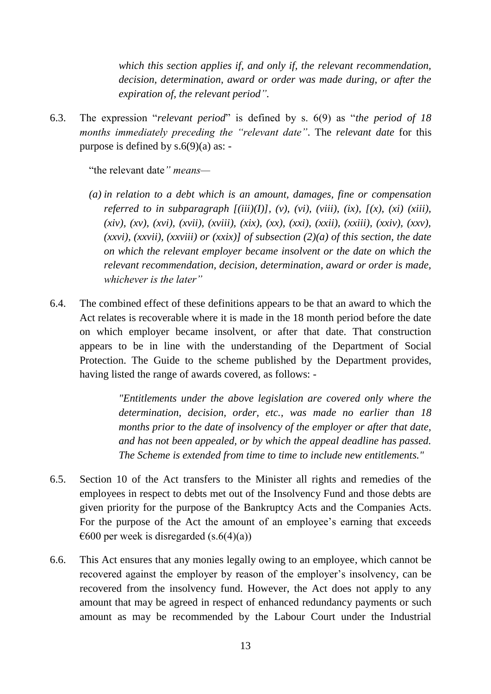*which this section applies if, and only if, the relevant recommendation, decision, determination, award or order was made during, or after the expiration of, the relevant period".*

6.3. The expression "*relevant period*" is defined by s. 6(9) as "*the period of 18 months immediately preceding the "relevant date"*. The *relevant date* for this purpose is defined by  $s.6(9)(a)$  as: -

"the relevant date*" means—*

- *(a) in relation to a debt which is an amount, damages, fine or compensation referred to in subparagraph*  $[(iii)(I)], (v), (vi), (viii), (ix), (xi), (xi)$  *(xiii), (xiv), (xv), (xvi), (xvii), (xviii), (xix), (xx), (xxi), (xxii), (xxiii), (xxiv), (xxv), (xxvi), (xxvii), (xxviii) or (xxix)] of subsection (2)(a) of this section, the date on which the relevant employer became insolvent or the date on which the relevant recommendation, decision, determination, award or order is made, whichever is the later"*
- 6.4. The combined effect of these definitions appears to be that an award to which the Act relates is recoverable where it is made in the 18 month period before the date on which employer became insolvent, or after that date. That construction appears to be in line with the understanding of the Department of Social Protection. The Guide to the scheme published by the Department provides, having listed the range of awards covered, as follows: -

*"Entitlements under the above legislation are covered only where the determination, decision, order, etc., was made no earlier than 18 months prior to the date of insolvency of the employer or after that date, and has not been appealed, or by which the appeal deadline has passed. The Scheme is extended from time to time to include new entitlements."*

- 6.5. Section 10 of the Act transfers to the Minister all rights and remedies of the employees in respect to debts met out of the Insolvency Fund and those debts are given priority for the purpose of the Bankruptcy Acts and the Companies Acts. For the purpose of the Act the amount of an employee's earning that exceeds  $\epsilon$ 600 per week is disregarded (s.6(4)(a))
- 6.6. This Act ensures that any monies legally owing to an employee, which cannot be recovered against the employer by reason of the employer's insolvency, can be recovered from the insolvency fund. However, the Act does not apply to any amount that may be agreed in respect of enhanced redundancy payments or such amount as may be recommended by the Labour Court under the Industrial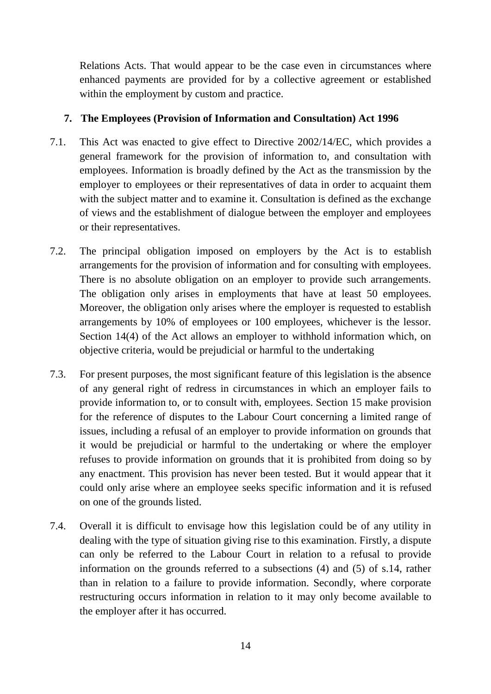Relations Acts. That would appear to be the case even in circumstances where enhanced payments are provided for by a collective agreement or established within the employment by custom and practice.

# **7. The Employees (Provision of Information and Consultation) Act 1996**

- 7.1. This Act was enacted to give effect to Directive 2002/14/EC, which provides a general framework for the provision of information to, and consultation with employees. Information is broadly defined by the Act as the transmission by the employer to employees or their representatives of data in order to acquaint them with the subject matter and to examine it. Consultation is defined as the exchange of views and the establishment of dialogue between the employer and employees or their representatives.
- 7.2. The principal obligation imposed on employers by the Act is to establish arrangements for the provision of information and for consulting with employees. There is no absolute obligation on an employer to provide such arrangements. The obligation only arises in employments that have at least 50 employees. Moreover, the obligation only arises where the employer is requested to establish arrangements by 10% of employees or 100 employees, whichever is the lessor. Section 14(4) of the Act allows an employer to withhold information which, on objective criteria, would be prejudicial or harmful to the undertaking
- 7.3. For present purposes, the most significant feature of this legislation is the absence of any general right of redress in circumstances in which an employer fails to provide information to, or to consult with, employees. Section 15 make provision for the reference of disputes to the Labour Court concerning a limited range of issues, including a refusal of an employer to provide information on grounds that it would be prejudicial or harmful to the undertaking or where the employer refuses to provide information on grounds that it is prohibited from doing so by any enactment. This provision has never been tested. But it would appear that it could only arise where an employee seeks specific information and it is refused on one of the grounds listed.
- 7.4. Overall it is difficult to envisage how this legislation could be of any utility in dealing with the type of situation giving rise to this examination. Firstly, a dispute can only be referred to the Labour Court in relation to a refusal to provide information on the grounds referred to a subsections (4) and (5) of s.14, rather than in relation to a failure to provide information. Secondly, where corporate restructuring occurs information in relation to it may only become available to the employer after it has occurred.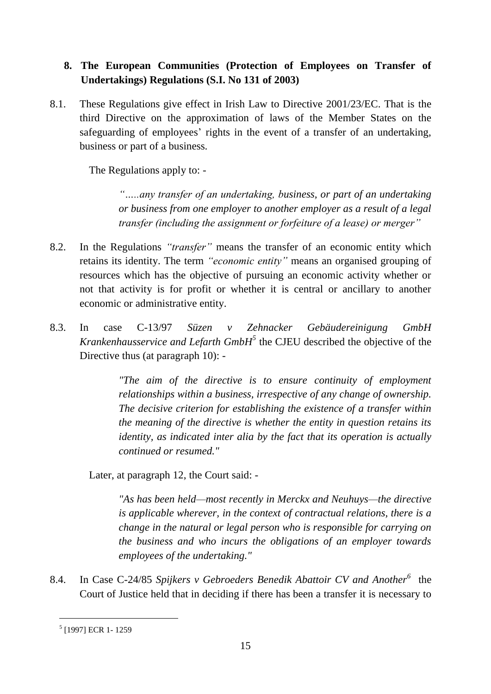# **8. The European Communities (Protection of Employees on Transfer of Undertakings) Regulations (S.I. No 131 of 2003)**

8.1. These Regulations give effect in Irish Law to Directive 2001/23/EC. That is the third Directive on the approximation of laws of the Member States on the safeguarding of employees' rights in the event of a transfer of an undertaking, business or part of a business.

The Regulations apply to: -

*"…..any transfer of an undertaking, business, or part of an undertaking or business from one employer to another employer as a result of a legal transfer (including the assignment or forfeiture of a lease) or merger"*

- 8.2. In the Regulations *"transfer"* means the transfer of an economic entity which retains its identity. The term *"economic entity"* means an organised grouping of resources which has the objective of pursuing an economic activity whether or not that activity is for profit or whether it is central or ancillary to another economic or administrative entity.
- 8.3. In case C-13/97 *Süzen v Zehnacker Gebäudereinigung GmbH Krankenhausservice and Lefarth GmbH<sup>5</sup>* the CJEU described the objective of the Directive thus (at paragraph 10): -

*"The aim of the directive is to ensure continuity of employment relationships within a business, irrespective of any change of ownership. The decisive criterion for establishing the existence of a transfer within the meaning of the directive is whether the entity in question retains its identity, as indicated inter alia by the fact that its operation is actually continued or resumed."*

Later, at paragraph 12, the Court said: -

*"As has been held—most recently in Merckx and Neuhuys—the directive is applicable wherever, in the context of contractual relations, there is a change in the natural or legal person who is responsible for carrying on the business and who incurs the obligations of an employer towards employees of the undertaking."*

8.4. In Case C-24/85 *Spijkers v Gebroeders Benedik Abattoir CV and Another<sup>6</sup>* the Court of Justice held that in deciding if there has been a transfer it is necessary to

<sup>5</sup> [1997] ECR 1- 1259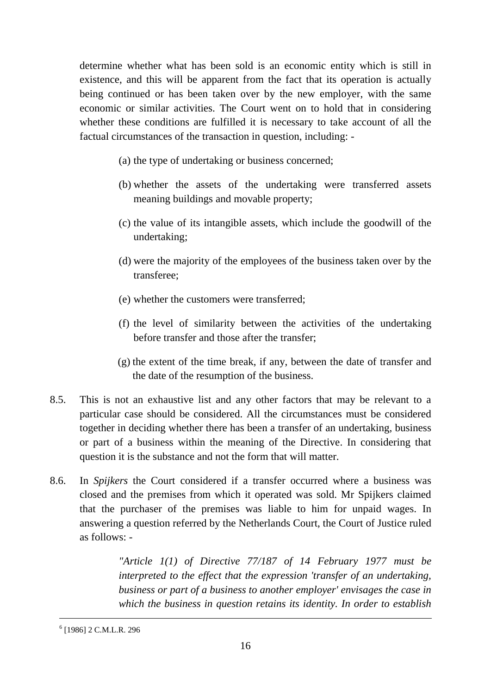determine whether what has been sold is an economic entity which is still in existence, and this will be apparent from the fact that its operation is actually being continued or has been taken over by the new employer, with the same economic or similar activities. The Court went on to hold that in considering whether these conditions are fulfilled it is necessary to take account of all the factual circumstances of the transaction in question, including: -

- (a) the type of undertaking or business concerned;
- (b) whether the assets of the undertaking were transferred assets meaning buildings and movable property;
- (c) the value of its intangible assets, which include the goodwill of the undertaking;
- (d) were the majority of the employees of the business taken over by the transferee;
- (e) whether the customers were transferred;
- (f) the level of similarity between the activities of the undertaking before transfer and those after the transfer;
- (g) the extent of the time break, if any, between the date of transfer and the date of the resumption of the business.
- 8.5. This is not an exhaustive list and any other factors that may be relevant to a particular case should be considered. All the circumstances must be considered together in deciding whether there has been a transfer of an undertaking, business or part of a business within the meaning of the Directive. In considering that question it is the substance and not the form that will matter.
- 8.6. In *Spijkers* the Court considered if a transfer occurred where a business was closed and the premises from which it operated was sold. Mr Spijkers claimed that the purchaser of the premises was liable to him for unpaid wages. In answering a question referred by the Netherlands Court, the Court of Justice ruled as follows: -

*"Article 1(1) of Directive 77/187 of 14 February 1977 must be interpreted to the effect that the expression 'transfer of an undertaking, business or part of a business to another employer' envisages the case in which the business in question retains its identity. In order to establish* 

6 [1986] 2 C.M.L.R. 296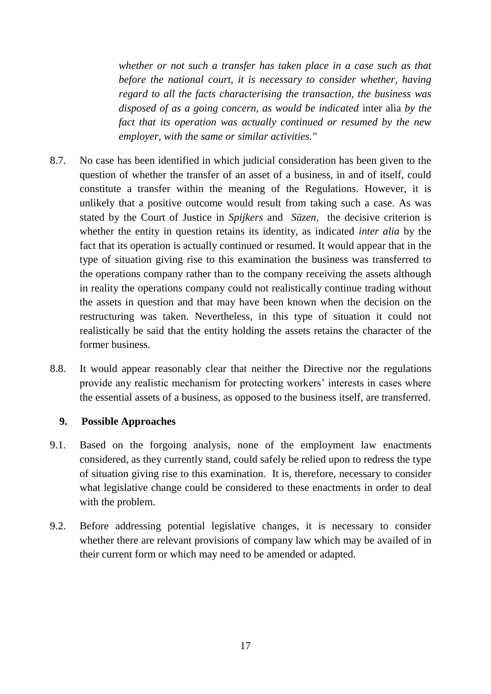*whether or not such a transfer has taken place in a case such as that before the national court, it is necessary to consider whether, having regard to all the facts characterising the transaction, the business was disposed of as a going concern, as would be indicated* inter alia *by the fact that its operation was actually continued or resumed by the new employer, with the same or similar activities."*

- 8.7. No case has been identified in which judicial consideration has been given to the question of whether the transfer of an asset of a business, in and of itself, could constitute a transfer within the meaning of the Regulations. However, it is unlikely that a positive outcome would result from taking such a case. As was stated by the Court of Justice in *Spijkers* and *Süzen,* the decisive criterion is whether the entity in question retains its identity, as indicated *inter alia* by the fact that its operation is actually continued or resumed. It would appear that in the type of situation giving rise to this examination the business was transferred to the operations company rather than to the company receiving the assets although in reality the operations company could not realistically continue trading without the assets in question and that may have been known when the decision on the restructuring was taken. Nevertheless, in this type of situation it could not realistically be said that the entity holding the assets retains the character of the former business.
- 8.8. It would appear reasonably clear that neither the Directive nor the regulations provide any realistic mechanism for protecting workers' interests in cases where the essential assets of a business, as opposed to the business itself, are transferred.

### **9. Possible Approaches**

- 9.1. Based on the forgoing analysis, none of the employment law enactments considered, as they currently stand, could safely be relied upon to redress the type of situation giving rise to this examination. It is, therefore, necessary to consider what legislative change could be considered to these enactments in order to deal with the problem.
- 9.2. Before addressing potential legislative changes, it is necessary to consider whether there are relevant provisions of company law which may be availed of in their current form or which may need to be amended or adapted.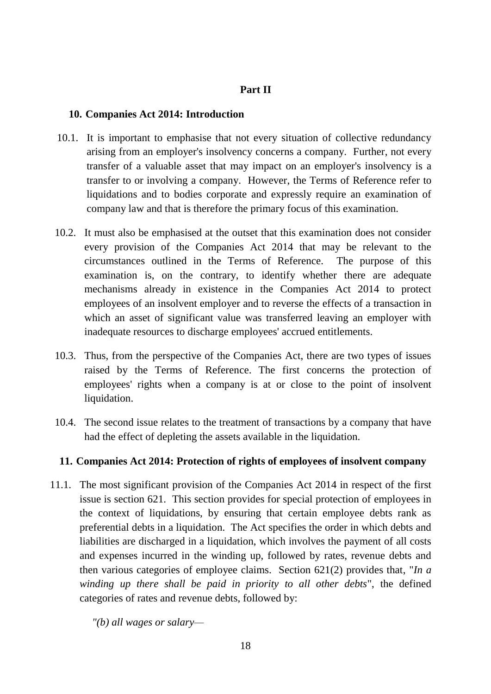### **Part II**

### **10. Companies Act 2014: Introduction**

- 10.1. It is important to emphasise that not every situation of collective redundancy arising from an employer's insolvency concerns a company. Further, not every transfer of a valuable asset that may impact on an employer's insolvency is a transfer to or involving a company. However, the Terms of Reference refer to liquidations and to bodies corporate and expressly require an examination of company law and that is therefore the primary focus of this examination.
- 10.2. It must also be emphasised at the outset that this examination does not consider every provision of the Companies Act 2014 that may be relevant to the circumstances outlined in the Terms of Reference. The purpose of this examination is, on the contrary, to identify whether there are adequate mechanisms already in existence in the Companies Act 2014 to protect employees of an insolvent employer and to reverse the effects of a transaction in which an asset of significant value was transferred leaving an employer with inadequate resources to discharge employees' accrued entitlements.
- 10.3. Thus, from the perspective of the Companies Act, there are two types of issues raised by the Terms of Reference. The first concerns the protection of employees' rights when a company is at or close to the point of insolvent liquidation.
- 10.4. The second issue relates to the treatment of transactions by a company that have had the effect of depleting the assets available in the liquidation.

### **11. Companies Act 2014: Protection of rights of employees of insolvent company**

11.1. The most significant provision of the Companies Act 2014 in respect of the first issue is section 621. This section provides for special protection of employees in the context of liquidations, by ensuring that certain employee debts rank as preferential debts in a liquidation. The Act specifies the order in which debts and liabilities are discharged in a liquidation, which involves the payment of all costs and expenses incurred in the winding up, followed by rates, revenue debts and then various categories of employee claims. Section 621(2) provides that, "*In a winding up there shall be paid in priority to all other debts*", the defined categories of rates and revenue debts, followed by:

*"(b) all wages or salary—*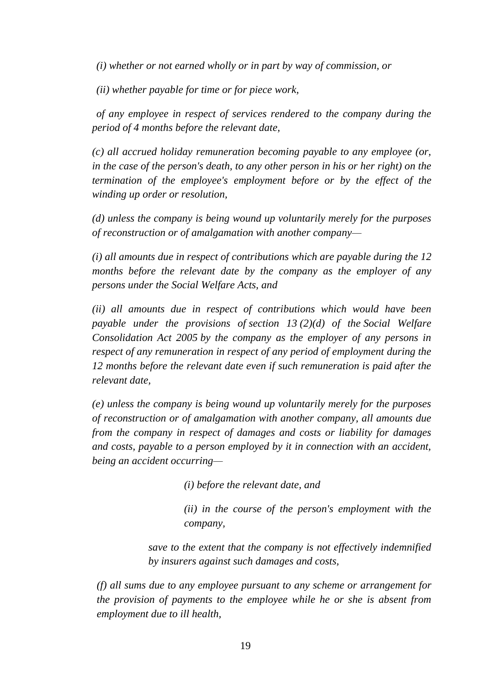*(i) whether or not earned wholly or in part by way of commission, or*

*(ii) whether payable for time or for piece work,*

*of any employee in respect of services rendered to the company during the period of 4 months before the relevant date,*

*(c) all accrued holiday remuneration becoming payable to any employee (or, in the case of the person's death, to any other person in his or her right) on the termination of the employee's employment before or by the effect of the winding up order or resolution,*

*(d) unless the company is being wound up voluntarily merely for the purposes of reconstruction or of amalgamation with another company—*

*(i) all amounts due in respect of contributions which are payable during the 12 months before the relevant date by the company as the employer of any persons under the Social Welfare Acts, and*

*(ii) all amounts due in respect of contributions which would have been payable under the provisions of [section 13](http://www.irishstatutebook.ie/2005/en/act/pub/0026/sec0013.html#sec13) (2)(d) of the [Social Welfare](http://www.irishstatutebook.ie/2005/en/act/pub/0026/index.html)  [Consolidation Act 2005](http://www.irishstatutebook.ie/2005/en/act/pub/0026/index.html) by the company as the employer of any persons in respect of any remuneration in respect of any period of employment during the 12 months before the relevant date even if such remuneration is paid after the relevant date,*

*(e) unless the company is being wound up voluntarily merely for the purposes of reconstruction or of amalgamation with another company, all amounts due from the company in respect of damages and costs or liability for damages and costs, payable to a person employed by it in connection with an accident, being an accident occurring—*

*(i) before the relevant date, and*

*(ii) in the course of the person's employment with the company,*

*save to the extent that the company is not effectively indemnified by insurers against such damages and costs,*

*(f) all sums due to any employee pursuant to any scheme or arrangement for the provision of payments to the employee while he or she is absent from employment due to ill health,*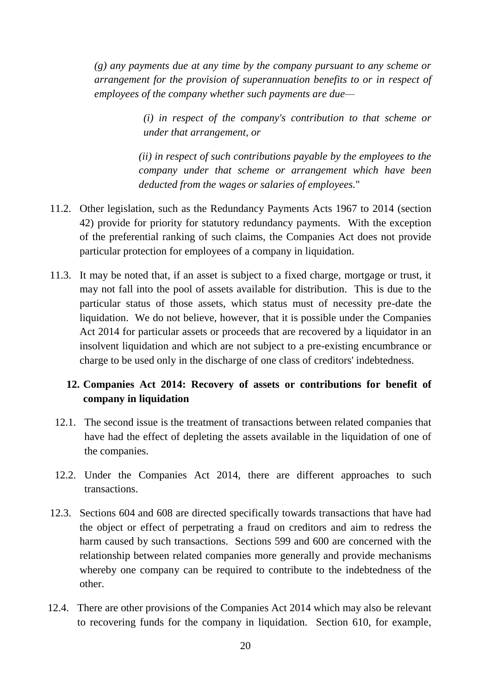*(g) any payments due at any time by the company pursuant to any scheme or arrangement for the provision of superannuation benefits to or in respect of employees of the company whether such payments are due—*

> *(i) in respect of the company's contribution to that scheme or under that arrangement, or*

*(ii) in respect of such contributions payable by the employees to the company under that scheme or arrangement which have been deducted from the wages or salaries of employees.*"

- 11.2. Other legislation, such as the Redundancy Payments Acts 1967 to 2014 (section 42) provide for priority for statutory redundancy payments. With the exception of the preferential ranking of such claims, the Companies Act does not provide particular protection for employees of a company in liquidation.
- 11.3. It may be noted that, if an asset is subject to a fixed charge, mortgage or trust, it may not fall into the pool of assets available for distribution. This is due to the particular status of those assets, which status must of necessity pre-date the liquidation. We do not believe, however, that it is possible under the Companies Act 2014 for particular assets or proceeds that are recovered by a liquidator in an insolvent liquidation and which are not subject to a pre-existing encumbrance or charge to be used only in the discharge of one class of creditors' indebtedness.

# **12. Companies Act 2014: Recovery of assets or contributions for benefit of company in liquidation**

- 12.1. The second issue is the treatment of transactions between related companies that have had the effect of depleting the assets available in the liquidation of one of the companies.
- 12.2. Under the Companies Act 2014, there are different approaches to such transactions.
- 12.3. Sections 604 and 608 are directed specifically towards transactions that have had the object or effect of perpetrating a fraud on creditors and aim to redress the harm caused by such transactions. Sections 599 and 600 are concerned with the relationship between related companies more generally and provide mechanisms whereby one company can be required to contribute to the indebtedness of the other.
- 12.4. There are other provisions of the Companies Act 2014 which may also be relevant to recovering funds for the company in liquidation. Section 610, for example,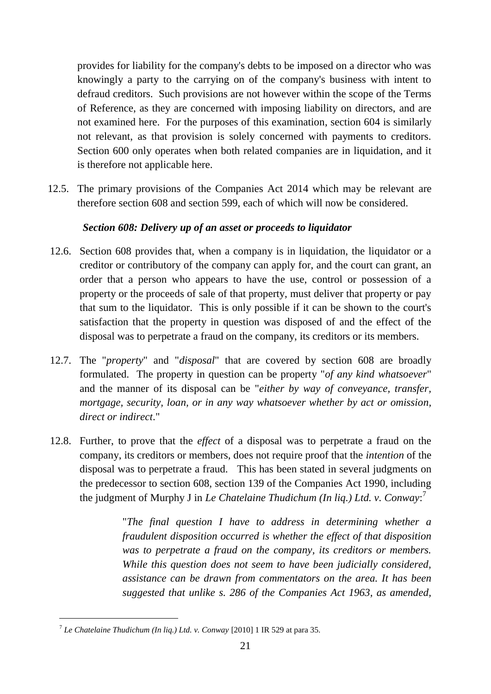provides for liability for the company's debts to be imposed on a director who was knowingly a party to the carrying on of the company's business with intent to defraud creditors. Such provisions are not however within the scope of the Terms of Reference, as they are concerned with imposing liability on directors, and are not examined here. For the purposes of this examination, section 604 is similarly not relevant, as that provision is solely concerned with payments to creditors. Section 600 only operates when both related companies are in liquidation, and it is therefore not applicable here.

12.5. The primary provisions of the Companies Act 2014 which may be relevant are therefore section 608 and section 599, each of which will now be considered.

# *Section 608: Delivery up of an asset or proceeds to liquidator*

- 12.6. Section 608 provides that, when a company is in liquidation, the liquidator or a creditor or contributory of the company can apply for, and the court can grant, an order that a person who appears to have the use, control or possession of a property or the proceeds of sale of that property, must deliver that property or pay that sum to the liquidator. This is only possible if it can be shown to the court's satisfaction that the property in question was disposed of and the effect of the disposal was to perpetrate a fraud on the company, its creditors or its members.
- 12.7. The "*property*" and "*disposal*" that are covered by section 608 are broadly formulated. The property in question can be property "*of any kind whatsoever*" and the manner of its disposal can be "*either by way of conveyance, transfer, mortgage, security, loan, or in any way whatsoever whether by act or omission, direct or indirect*."
- 12.8. Further, to prove that the *effect* of a disposal was to perpetrate a fraud on the company, its creditors or members, does not require proof that the *intention* of the disposal was to perpetrate a fraud. This has been stated in several judgments on the predecessor to section 608, section 139 of the Companies Act 1990, including the judgment of Murphy J in *Le Chatelaine Thudichum (In liq.) Ltd. v. Conway*: 7

"*The final question I have to address in determining whether a fraudulent disposition occurred is whether the effect of that disposition was to perpetrate a fraud on the company, its creditors or members. While this question does not seem to have been judicially considered, assistance can be drawn from commentators on the area. It has been suggested that unlike s. 286 of the Companies Act 1963, as amended,* 

<sup>7</sup> *Le Chatelaine Thudichum (In liq.) Ltd. v. Conway* [2010] 1 IR 529 at para 35.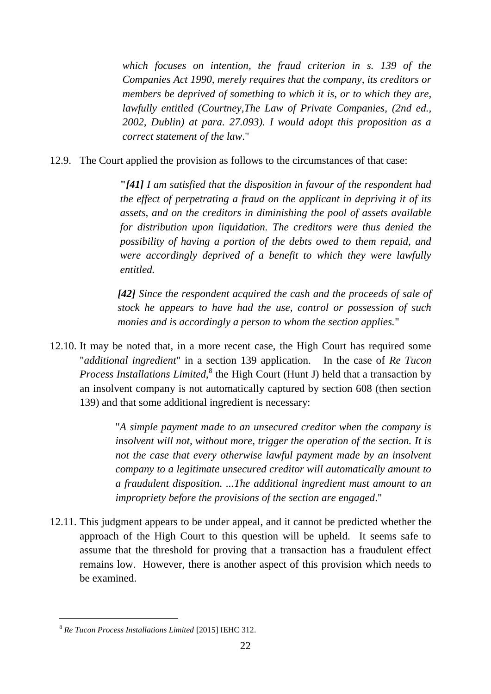*which focuses on intention, the fraud criterion in s. 139 of the Companies Act 1990, merely requires that the company, its creditors or members be deprived of something to which it is, or to which they are, lawfully entitled (Courtney,The Law of Private Companies, (2nd ed., 2002, Dublin) at para. 27.093). I would adopt this proposition as a correct statement of the law*."

12.9. The Court applied the provision as follows to the circumstances of that case:

**"***[41] I am satisfied that the disposition in favour of the respondent had the effect of perpetrating a fraud on the applicant in depriving it of its assets, and on the creditors in diminishing the pool of assets available for distribution upon liquidation. The creditors were thus denied the possibility of having a portion of the debts owed to them repaid, and were accordingly deprived of a benefit to which they were lawfully entitled.*

*[42] Since the respondent acquired the cash and the proceeds of sale of stock he appears to have had the use, control or possession of such monies and is accordingly a person to whom the section applies.*"

12.10. It may be noted that, in a more recent case, the High Court has required some "*additional ingredient*" in a section 139 application. In the case of *Re Tucon*  Process Installations Limited,<sup>8</sup> the High Court (Hunt J) held that a transaction by an insolvent company is not automatically captured by section 608 (then section 139) and that some additional ingredient is necessary:

> "*A simple payment made to an unsecured creditor when the company is insolvent will not, without more, trigger the operation of the section. It is not the case that every otherwise lawful payment made by an insolvent company to a legitimate unsecured creditor will automatically amount to a fraudulent disposition. ...The additional ingredient must amount to an impropriety before the provisions of the section are engaged*."

12.11. This judgment appears to be under appeal, and it cannot be predicted whether the approach of the High Court to this question will be upheld. It seems safe to assume that the threshold for proving that a transaction has a fraudulent effect remains low. However, there is another aspect of this provision which needs to be examined.

<sup>8</sup> *Re Tucon Process Installations Limited* [2015] IEHC 312.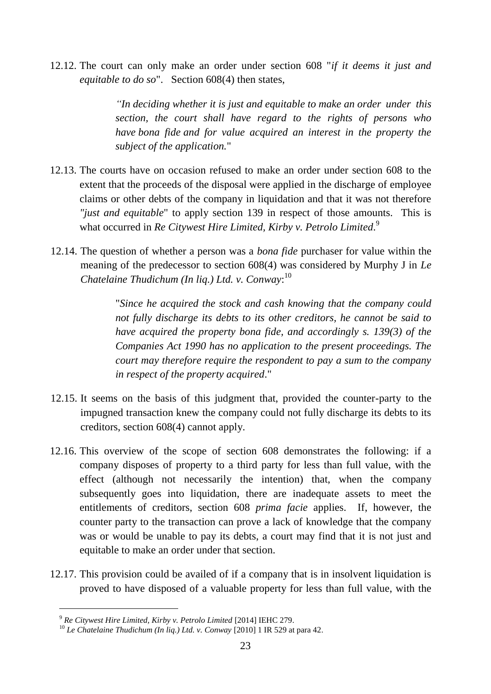12.12. The court can only make an order under section 608 "*if it deems it just and equitable to do so*". Section 608(4) then states,

> *"In deciding whether it is just and equitable to make an order under this section, the court shall have regard to the rights of persons who have bona fide and for value acquired an interest in the property the subject of the application.*"

- 12.13. The courts have on occasion refused to make an order under section 608 to the extent that the proceeds of the disposal were applied in the discharge of employee claims or other debts of the company in liquidation and that it was not therefore *"just and equitable*" to apply section 139 in respect of those amounts. This is what occurred in *Re Citywest Hire Limited, Kirby v. Petrolo Limited*. 9
- 12.14. The question of whether a person was a *bona fide* purchaser for value within the meaning of the predecessor to section 608(4) was considered by Murphy J in *Le Chatelaine Thudichum (In liq.) Ltd. v. Conway*: 10

"*Since he acquired the stock and cash knowing that the company could not fully discharge its debts to its other creditors, he cannot be said to have acquired the property bona fide, and accordingly s. 139(3) of the Companies Act 1990 has no application to the present proceedings. The court may therefore require the respondent to pay a sum to the company in respect of the property acquired*."

- 12.15. It seems on the basis of this judgment that, provided the counter-party to the impugned transaction knew the company could not fully discharge its debts to its creditors, section 608(4) cannot apply.
- 12.16. This overview of the scope of section 608 demonstrates the following: if a company disposes of property to a third party for less than full value, with the effect (although not necessarily the intention) that, when the company subsequently goes into liquidation, there are inadequate assets to meet the entitlements of creditors, section 608 *prima facie* applies. If, however, the counter party to the transaction can prove a lack of knowledge that the company was or would be unable to pay its debts, a court may find that it is not just and equitable to make an order under that section.
- 12.17. This provision could be availed of if a company that is in insolvent liquidation is proved to have disposed of a valuable property for less than full value, with the

<sup>9</sup> *Re Citywest Hire Limited, Kirby v. Petrolo Limited* [2014] IEHC 279.

<sup>10</sup> *Le Chatelaine Thudichum (In liq.) Ltd. v. Conway* [2010] 1 IR 529 at para 42.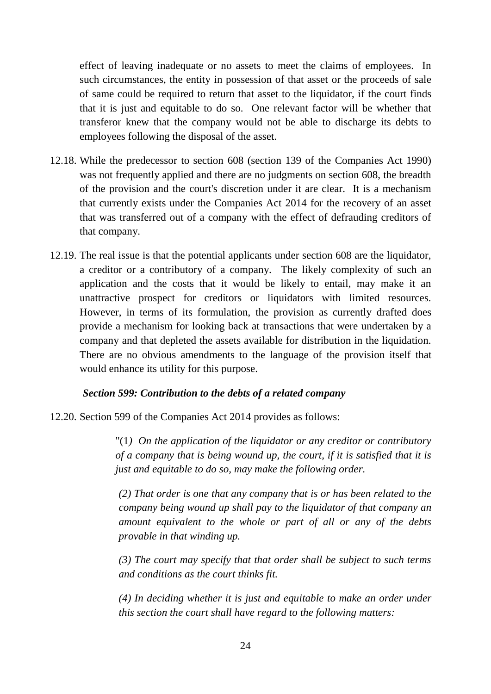effect of leaving inadequate or no assets to meet the claims of employees. In such circumstances, the entity in possession of that asset or the proceeds of sale of same could be required to return that asset to the liquidator, if the court finds that it is just and equitable to do so. One relevant factor will be whether that transferor knew that the company would not be able to discharge its debts to employees following the disposal of the asset.

- 12.18. While the predecessor to section 608 (section 139 of the Companies Act 1990) was not frequently applied and there are no judgments on section 608, the breadth of the provision and the court's discretion under it are clear. It is a mechanism that currently exists under the Companies Act 2014 for the recovery of an asset that was transferred out of a company with the effect of defrauding creditors of that company.
- 12.19. The real issue is that the potential applicants under section 608 are the liquidator, a creditor or a contributory of a company. The likely complexity of such an application and the costs that it would be likely to entail, may make it an unattractive prospect for creditors or liquidators with limited resources. However, in terms of its formulation, the provision as currently drafted does provide a mechanism for looking back at transactions that were undertaken by a company and that depleted the assets available for distribution in the liquidation. There are no obvious amendments to the language of the provision itself that would enhance its utility for this purpose.

### *Section 599: Contribution to the debts of a related company*

12.20. Section 599 of the Companies Act 2014 provides as follows:

"(1*) On the application of the liquidator or any creditor or contributory of a company that is being wound up, the court, if it is satisfied that it is just and equitable to do so, may make the following order.*

*(2) That order is one that any company that is or has been related to the company being wound up shall pay to the liquidator of that company an amount equivalent to the whole or part of all or any of the debts provable in that winding up.*

*(3) The court may specify that that order shall be subject to such terms and conditions as the court thinks fit.*

*(4) In deciding whether it is just and equitable to make an order under this section the court shall have regard to the following matters:*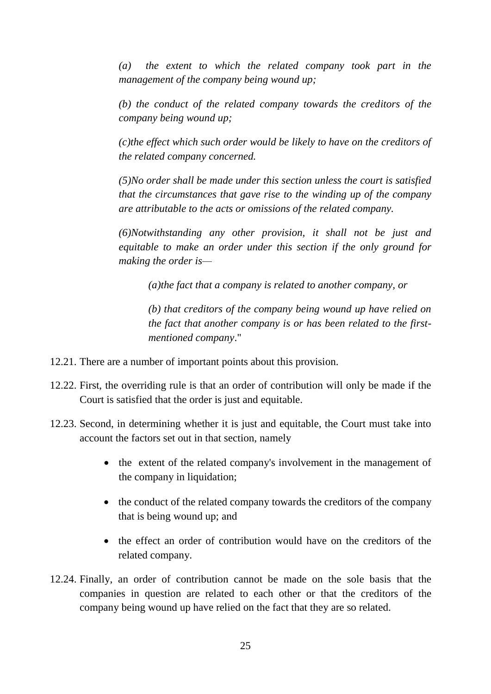*(a) the extent to which the related company took part in the management of the company being wound up;*

*(b) the conduct of the related company towards the creditors of the company being wound up;*

*(c)the effect which such order would be likely to have on the creditors of the related company concerned.*

*(5)No order shall be made under this section unless the court is satisfied that the circumstances that gave rise to the winding up of the company are attributable to the acts or omissions of the related company.*

*(6)Notwithstanding any other provision, it shall not be just and equitable to make an order under this section if the only ground for making the order is—*

*(a)the fact that a company is related to another company, or*

*(b) that creditors of the company being wound up have relied on the fact that another company is or has been related to the firstmentioned company*."

- 12.21. There are a number of important points about this provision.
- 12.22. First, the overriding rule is that an order of contribution will only be made if the Court is satisfied that the order is just and equitable.
- 12.23. Second, in determining whether it is just and equitable, the Court must take into account the factors set out in that section, namely
	- the extent of the related company's involvement in the management of the company in liquidation;
	- the conduct of the related company towards the creditors of the company that is being wound up; and
	- the effect an order of contribution would have on the creditors of the related company.
- 12.24. Finally, an order of contribution cannot be made on the sole basis that the companies in question are related to each other or that the creditors of the company being wound up have relied on the fact that they are so related.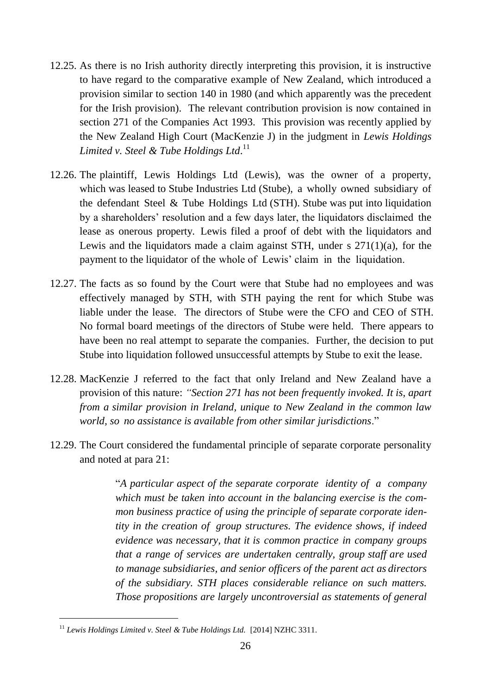- 12.25. As there is no Irish authority directly interpreting this provision, it is instructive to have regard to the comparative example of New Zealand, which introduced a provision similar to section 140 in 1980 (and which apparently was the precedent for the Irish provision). The relevant contribution provision is now contained in section 271 of the Companies Act 1993. This provision was recently applied by the New Zealand High Court (MacKenzie J) in the judgment in *Lewis Holdings Limited v. Steel & Tube Holdings Ltd*. 11
- 12.26. The plaintiff, Lewis Holdings Ltd (Lewis), was the owner of a property, which was leased to Stube Industries Ltd (Stube), a wholly owned subsidiary of the defendant Steel & Tube Holdings Ltd (STH). Stube was put into liquidation by a shareholders' resolution and a few days later, the liquidators disclaimed the lease as onerous property. Lewis filed a proof of debt with the liquidators and Lewis and the liquidators made a claim against STH, under s 271(1)(a), for the payment to the liquidator of the whole of Lewis' claim in the liquidation.
- 12.27. The facts as so found by the Court were that Stube had no employees and was effectively managed by STH, with STH paying the rent for which Stube was liable under the lease. The directors of Stube were the CFO and CEO of STH. No formal board meetings of the directors of Stube were held. There appears to have been no real attempt to separate the companies. Further, the decision to put Stube into liquidation followed unsuccessful attempts by Stube to exit the lease.
- 12.28. MacKenzie J referred to the fact that only Ireland and New Zealand have a provision of this nature: *"Section 271 has not been frequently invoked. It is, apart from a similar provision in Ireland, unique to New Zealand in the common law world, so no assistance is available from other similar jurisdictions*."
- 12.29. The Court considered the fundamental principle of separate corporate personality and noted at para 21:

"*A particular aspect of the separate corporate identity of a company which must be taken into account in the balancing exercise is the common business practice of using the principle of separate corporate identity in the creation of group structures. The evidence shows, if indeed evidence was necessary, that it is common practice in company groups that a range of services are undertaken centrally, group staff are used to manage subsidiaries, and senior officers of the parent act as directors of the subsidiary. STH places considerable reliance on such matters. Those propositions are largely uncontroversial as statements of general* 

<sup>11</sup> *Lewis Holdings Limited v. Steel & Tube Holdings Ltd.* [2014] NZHC 3311.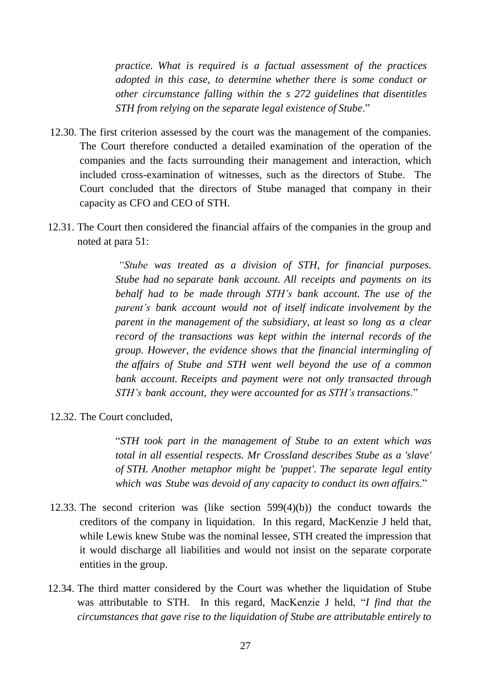*practice. What is required is a factual assessment of the practices adopted in this case, to determine whether there is some conduct or other circumstance falling within the s 272 guidelines that disentitles STH from relying on the separate legal existence of Stube*."

- 12.30. The first criterion assessed by the court was the management of the companies. The Court therefore conducted a detailed examination of the operation of the companies and the facts surrounding their management and interaction, which included cross-examination of witnesses, such as the directors of Stube. The Court concluded that the directors of Stube managed that company in their capacity as CFO and CEO of STH.
- 12.31. The Court then considered the financial affairs of the companies in the group and noted at para 51:

*"Stube was treated as a division of STH, for financial purposes. Stube had no separate bank account. All receipts and payments on its behalf had to be made through STH's bank account. The use of the parent's bank account would not of itself indicate involvement by the parent in the management of the subsidiary, at least so long as a clear record of the transactions was kept within the internal records of the group. However, the evidence shows that the financial intermingling of the affairs of Stube and STH went well beyond the use of a common bank account. Receipts and payment were not only transacted through STH's bank account, they were accounted for as STH's transactions*."

12.32. The Court concluded,

"*STH took part in the management of Stube to an extent which was total in all essential respects. Mr Crossland describes Stube as a 'slave' of STH. Another metaphor might be 'puppet'. The separate legal entity which was Stube was devoid of any capacity to conduct its own affairs*."

- 12.33. The second criterion was (like section 599(4)(b)) the conduct towards the creditors of the company in liquidation. In this regard, MacKenzie J held that, while Lewis knew Stube was the nominal lessee, STH created the impression that it would discharge all liabilities and would not insist on the separate corporate entities in the group.
- 12.34. The third matter considered by the Court was whether the liquidation of Stube was attributable to STH. In this regard, MacKenzie J held, "*I find that the circumstances that gave rise to the liquidation of Stube are attributable entirely to*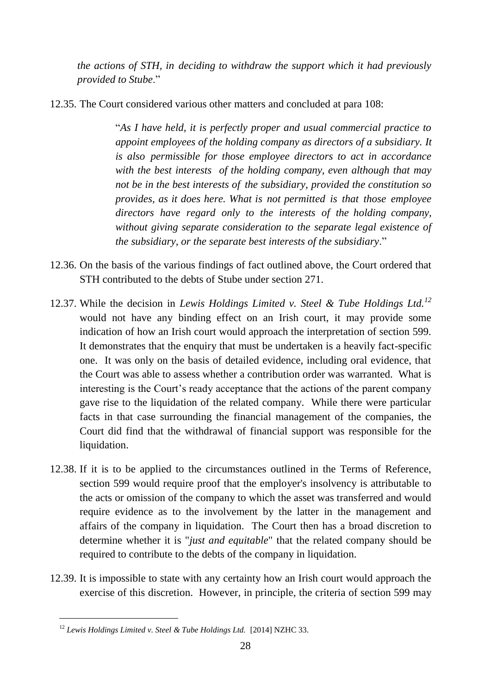*the actions of STH, in deciding to withdraw the support which it had previously provided to Stube*."

12.35. The Court considered various other matters and concluded at para 108:

"*As I have held, it is perfectly proper and usual commercial practice to appoint employees of the holding company as directors of a subsidiary. It is also permissible for those employee directors to act in accordance with the best interests of the holding company, even although that may not be in the best interests of the subsidiary, provided the constitution so provides, as it does here. What is not permitted is that those employee directors have regard only to the interests of the holding company, without giving separate consideration to the separate legal existence of the subsidiary, or the separate best interests of the subsidiary*."

- 12.36. On the basis of the various findings of fact outlined above, the Court ordered that STH contributed to the debts of Stube under section 271.
- 12.37. While the decision in *Lewis Holdings Limited v. Steel & Tube Holdings Ltd.<sup>12</sup>* would not have any binding effect on an Irish court, it may provide some indication of how an Irish court would approach the interpretation of section 599. It demonstrates that the enquiry that must be undertaken is a heavily fact-specific one. It was only on the basis of detailed evidence, including oral evidence, that the Court was able to assess whether a contribution order was warranted. What is interesting is the Court's ready acceptance that the actions of the parent company gave rise to the liquidation of the related company. While there were particular facts in that case surrounding the financial management of the companies, the Court did find that the withdrawal of financial support was responsible for the liquidation.
- 12.38. If it is to be applied to the circumstances outlined in the Terms of Reference, section 599 would require proof that the employer's insolvency is attributable to the acts or omission of the company to which the asset was transferred and would require evidence as to the involvement by the latter in the management and affairs of the company in liquidation. The Court then has a broad discretion to determine whether it is "*just and equitable*" that the related company should be required to contribute to the debts of the company in liquidation.
- 12.39. It is impossible to state with any certainty how an Irish court would approach the exercise of this discretion. However, in principle, the criteria of section 599 may

<sup>12</sup> *Lewis Holdings Limited v. Steel & Tube Holdings Ltd.* [2014] NZHC 33.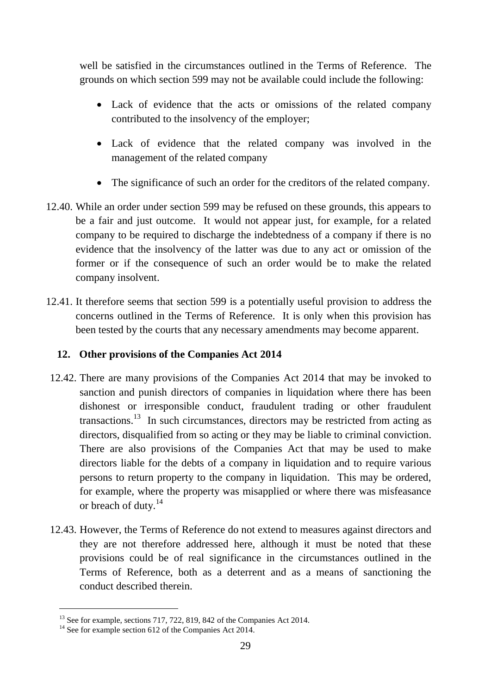well be satisfied in the circumstances outlined in the Terms of Reference. The grounds on which section 599 may not be available could include the following:

- Lack of evidence that the acts or omissions of the related company contributed to the insolvency of the employer;
- Lack of evidence that the related company was involved in the management of the related company
- The significance of such an order for the creditors of the related company.
- 12.40. While an order under section 599 may be refused on these grounds, this appears to be a fair and just outcome. It would not appear just, for example, for a related company to be required to discharge the indebtedness of a company if there is no evidence that the insolvency of the latter was due to any act or omission of the former or if the consequence of such an order would be to make the related company insolvent.
- 12.41. It therefore seems that section 599 is a potentially useful provision to address the concerns outlined in the Terms of Reference. It is only when this provision has been tested by the courts that any necessary amendments may become apparent.

### **12. Other provisions of the Companies Act 2014**

- 12.42. There are many provisions of the Companies Act 2014 that may be invoked to sanction and punish directors of companies in liquidation where there has been dishonest or irresponsible conduct, fraudulent trading or other fraudulent transactions.<sup>13</sup> In such circumstances, directors may be restricted from acting as directors, disqualified from so acting or they may be liable to criminal conviction. There are also provisions of the Companies Act that may be used to make directors liable for the debts of a company in liquidation and to require various persons to return property to the company in liquidation. This may be ordered, for example, where the property was misapplied or where there was misfeasance or breach of duty.<sup>14</sup>
- 12.43. However, the Terms of Reference do not extend to measures against directors and they are not therefore addressed here, although it must be noted that these provisions could be of real significance in the circumstances outlined in the Terms of Reference, both as a deterrent and as a means of sanctioning the conduct described therein.

 $13$  See for example, sections 717, 722, 819, 842 of the Companies Act 2014.

<sup>&</sup>lt;sup>14</sup> See for example section 612 of the Companies Act 2014.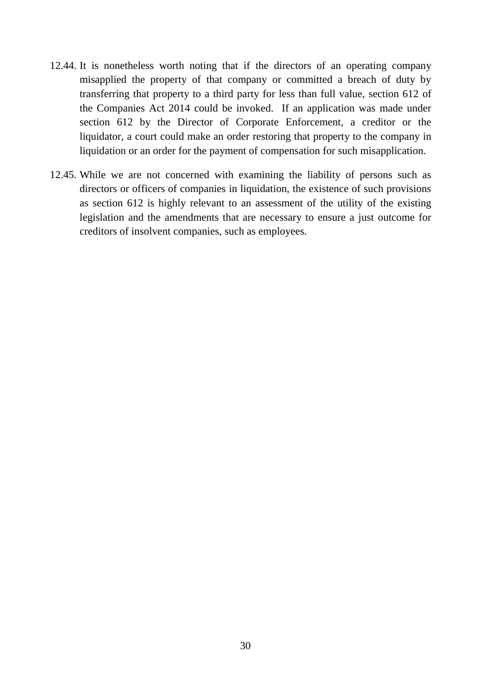- 12.44. It is nonetheless worth noting that if the directors of an operating company misapplied the property of that company or committed a breach of duty by transferring that property to a third party for less than full value, section 612 of the Companies Act 2014 could be invoked. If an application was made under section 612 by the Director of Corporate Enforcement, a creditor or the liquidator, a court could make an order restoring that property to the company in liquidation or an order for the payment of compensation for such misapplication.
- 12.45. While we are not concerned with examining the liability of persons such as directors or officers of companies in liquidation, the existence of such provisions as section 612 is highly relevant to an assessment of the utility of the existing legislation and the amendments that are necessary to ensure a just outcome for creditors of insolvent companies, such as employees.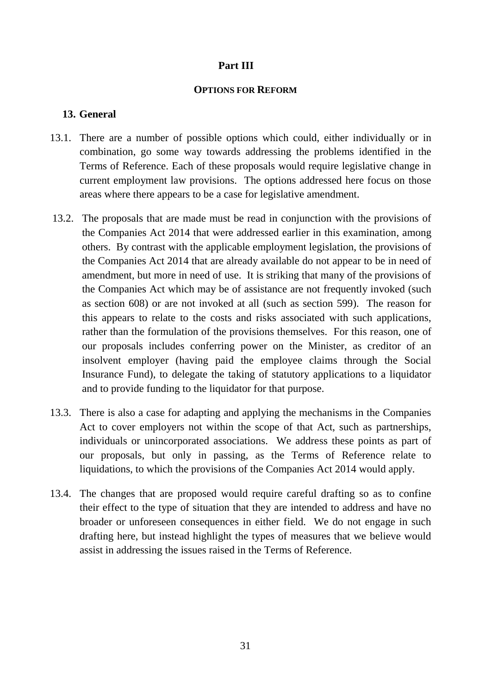# **Part III**

#### **OPTIONS FOR REFORM**

### **13. General**

- 13.1. There are a number of possible options which could, either individually or in combination, go some way towards addressing the problems identified in the Terms of Reference. Each of these proposals would require legislative change in current employment law provisions. The options addressed here focus on those areas where there appears to be a case for legislative amendment.
- 13.2. The proposals that are made must be read in conjunction with the provisions of the Companies Act 2014 that were addressed earlier in this examination, among others. By contrast with the applicable employment legislation, the provisions of the Companies Act 2014 that are already available do not appear to be in need of amendment, but more in need of use. It is striking that many of the provisions of the Companies Act which may be of assistance are not frequently invoked (such as section 608) or are not invoked at all (such as section 599). The reason for this appears to relate to the costs and risks associated with such applications, rather than the formulation of the provisions themselves. For this reason, one of our proposals includes conferring power on the Minister, as creditor of an insolvent employer (having paid the employee claims through the Social Insurance Fund), to delegate the taking of statutory applications to a liquidator and to provide funding to the liquidator for that purpose.
- 13.3. There is also a case for adapting and applying the mechanisms in the Companies Act to cover employers not within the scope of that Act, such as partnerships, individuals or unincorporated associations. We address these points as part of our proposals, but only in passing, as the Terms of Reference relate to liquidations, to which the provisions of the Companies Act 2014 would apply.
- 13.4. The changes that are proposed would require careful drafting so as to confine their effect to the type of situation that they are intended to address and have no broader or unforeseen consequences in either field. We do not engage in such drafting here, but instead highlight the types of measures that we believe would assist in addressing the issues raised in the Terms of Reference.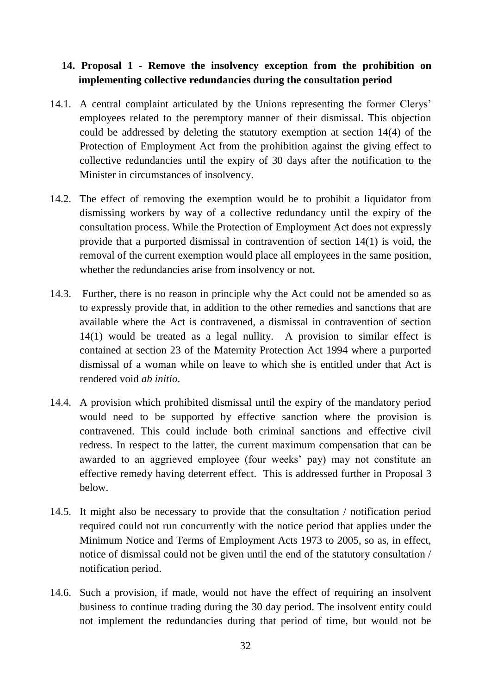# **14. Proposal 1 - Remove the insolvency exception from the prohibition on implementing collective redundancies during the consultation period**

- 14.1. A central complaint articulated by the Unions representing the former Clerys' employees related to the peremptory manner of their dismissal. This objection could be addressed by deleting the statutory exemption at section 14(4) of the Protection of Employment Act from the prohibition against the giving effect to collective redundancies until the expiry of 30 days after the notification to the Minister in circumstances of insolvency.
- 14.2. The effect of removing the exemption would be to prohibit a liquidator from dismissing workers by way of a collective redundancy until the expiry of the consultation process. While the Protection of Employment Act does not expressly provide that a purported dismissal in contravention of section 14(1) is void, the removal of the current exemption would place all employees in the same position, whether the redundancies arise from insolvency or not.
- 14.3. Further, there is no reason in principle why the Act could not be amended so as to expressly provide that, in addition to the other remedies and sanctions that are available where the Act is contravened, a dismissal in contravention of section 14(1) would be treated as a legal nullity. A provision to similar effect is contained at section 23 of the Maternity Protection Act 1994 where a purported dismissal of a woman while on leave to which she is entitled under that Act is rendered void *ab initio*.
- 14.4. A provision which prohibited dismissal until the expiry of the mandatory period would need to be supported by effective sanction where the provision is contravened. This could include both criminal sanctions and effective civil redress. In respect to the latter, the current maximum compensation that can be awarded to an aggrieved employee (four weeks' pay) may not constitute an effective remedy having deterrent effect. This is addressed further in Proposal 3 below.
- 14.5. It might also be necessary to provide that the consultation / notification period required could not run concurrently with the notice period that applies under the Minimum Notice and Terms of Employment Acts 1973 to 2005, so as, in effect, notice of dismissal could not be given until the end of the statutory consultation / notification period.
- 14.6. Such a provision, if made, would not have the effect of requiring an insolvent business to continue trading during the 30 day period. The insolvent entity could not implement the redundancies during that period of time, but would not be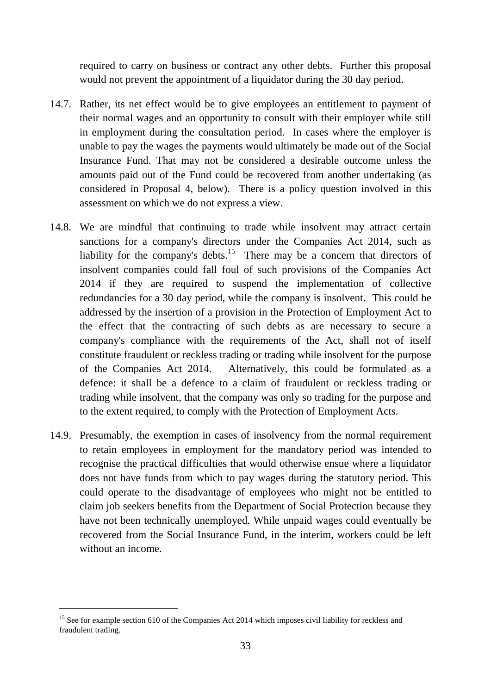required to carry on business or contract any other debts. Further this proposal would not prevent the appointment of a liquidator during the 30 day period.

- 14.7. Rather, its net effect would be to give employees an entitlement to payment of their normal wages and an opportunity to consult with their employer while still in employment during the consultation period. In cases where the employer is unable to pay the wages the payments would ultimately be made out of the Social Insurance Fund. That may not be considered a desirable outcome unless the amounts paid out of the Fund could be recovered from another undertaking (as considered in Proposal 4, below). There is a policy question involved in this assessment on which we do not express a view.
- 14.8. We are mindful that continuing to trade while insolvent may attract certain sanctions for a company's directors under the Companies Act 2014, such as liability for the company's debts.<sup>15</sup> There may be a concern that directors of insolvent companies could fall foul of such provisions of the Companies Act 2014 if they are required to suspend the implementation of collective redundancies for a 30 day period, while the company is insolvent. This could be addressed by the insertion of a provision in the Protection of Employment Act to the effect that the contracting of such debts as are necessary to secure a company's compliance with the requirements of the Act, shall not of itself constitute fraudulent or reckless trading or trading while insolvent for the purpose of the Companies Act 2014. Alternatively, this could be formulated as a defence: it shall be a defence to a claim of fraudulent or reckless trading or trading while insolvent, that the company was only so trading for the purpose and to the extent required, to comply with the Protection of Employment Acts.
- 14.9. Presumably, the exemption in cases of insolvency from the normal requirement to retain employees in employment for the mandatory period was intended to recognise the practical difficulties that would otherwise ensue where a liquidator does not have funds from which to pay wages during the statutory period. This could operate to the disadvantage of employees who might not be entitled to claim job seekers benefits from the Department of Social Protection because they have not been technically unemployed. While unpaid wages could eventually be recovered from the Social Insurance Fund, in the interim, workers could be left without an income.

<sup>&</sup>lt;sup>15</sup> See for example section 610 of the Companies Act 2014 which imposes civil liability for reckless and fraudulent trading.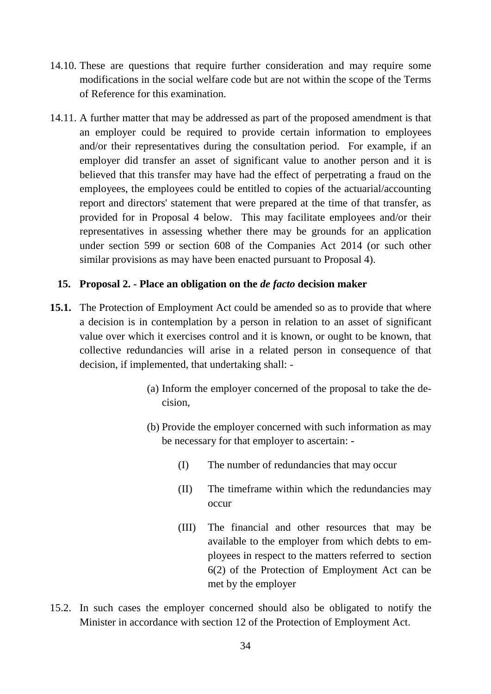- 14.10. These are questions that require further consideration and may require some modifications in the social welfare code but are not within the scope of the Terms of Reference for this examination.
- 14.11. A further matter that may be addressed as part of the proposed amendment is that an employer could be required to provide certain information to employees and/or their representatives during the consultation period. For example, if an employer did transfer an asset of significant value to another person and it is believed that this transfer may have had the effect of perpetrating a fraud on the employees, the employees could be entitled to copies of the actuarial/accounting report and directors' statement that were prepared at the time of that transfer, as provided for in Proposal 4 below. This may facilitate employees and/or their representatives in assessing whether there may be grounds for an application under section 599 or section 608 of the Companies Act 2014 (or such other similar provisions as may have been enacted pursuant to Proposal 4).

### **15. Proposal 2. - Place an obligation on the** *de facto* **decision maker**

- **15.1.** The Protection of Employment Act could be amended so as to provide that where a decision is in contemplation by a person in relation to an asset of significant value over which it exercises control and it is known, or ought to be known, that collective redundancies will arise in a related person in consequence of that decision, if implemented, that undertaking shall: -
	- (a) Inform the employer concerned of the proposal to take the decision,
	- (b) Provide the employer concerned with such information as may be necessary for that employer to ascertain: -
		- (I) The number of redundancies that may occur
		- (II) The timeframe within which the redundancies may occur
		- (III) The financial and other resources that may be available to the employer from which debts to employees in respect to the matters referred to section 6(2) of the Protection of Employment Act can be met by the employer
- 15.2. In such cases the employer concerned should also be obligated to notify the Minister in accordance with section 12 of the Protection of Employment Act.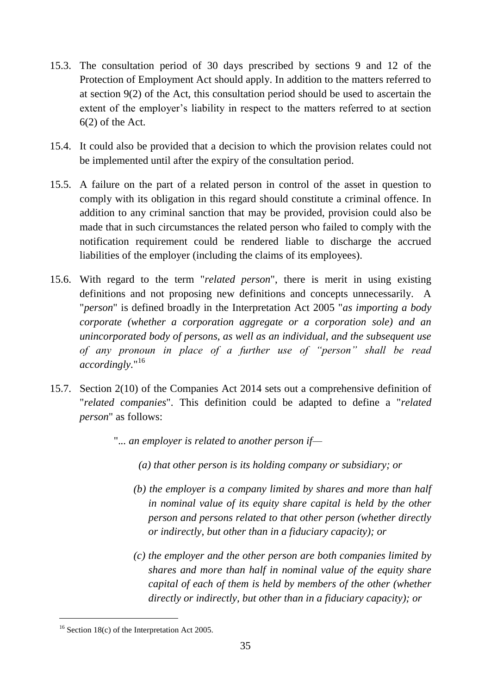- 15.3. The consultation period of 30 days prescribed by sections 9 and 12 of the Protection of Employment Act should apply. In addition to the matters referred to at section 9(2) of the Act, this consultation period should be used to ascertain the extent of the employer's liability in respect to the matters referred to at section 6(2) of the Act.
- 15.4. It could also be provided that a decision to which the provision relates could not be implemented until after the expiry of the consultation period.
- 15.5. A failure on the part of a related person in control of the asset in question to comply with its obligation in this regard should constitute a criminal offence. In addition to any criminal sanction that may be provided, provision could also be made that in such circumstances the related person who failed to comply with the notification requirement could be rendered liable to discharge the accrued liabilities of the employer (including the claims of its employees).
- 15.6. With regard to the term "*related person*", there is merit in using existing definitions and not proposing new definitions and concepts unnecessarily. A "*person*" is defined broadly in the Interpretation Act 2005 "*as importing a body corporate (whether a corporation aggregate or a corporation sole) and an unincorporated body of persons, as well as an individual, and the subsequent use of any pronoun in place of a further use of "person" shall be read accordingly.*" 16
- 15.7. Section 2(10) of the Companies Act 2014 sets out a comprehensive definition of "*related companies*". This definition could be adapted to define a "*related person*" as follows:
	- ".*.. an employer is related to another person if—*
		- *(a) that other person is its holding company or subsidiary; or*
		- *(b) the employer is a company limited by shares and more than half in nominal value of its equity share capital is held by the other person and persons related to that other person (whether directly or indirectly, but other than in a fiduciary capacity); or*
		- *(c) the employer and the other person are both companies limited by shares and more than half in nominal value of the equity share capital of each of them is held by members of the other (whether directly or indirectly, but other than in a fiduciary capacity); or*

<sup>&</sup>lt;sup>16</sup> Section 18(c) of the Interpretation Act 2005.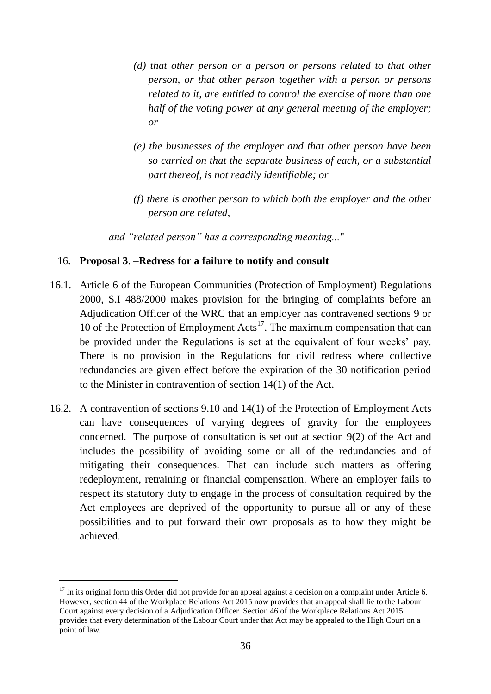- *(d) that other person or a person or persons related to that other person, or that other person together with a person or persons related to it, are entitled to control the exercise of more than one half of the voting power at any general meeting of the employer; or*
- *(e) the businesses of the employer and that other person have been so carried on that the separate business of each, or a substantial part thereof, is not readily identifiable; or*
- *(f) there is another person to which both the employer and the other person are related,*

*and "related person" has a corresponding meaning...*"

### 16. **Proposal 3**. –**Redress for a failure to notify and consult**

- 16.1. Article 6 of the European Communities (Protection of Employment) Regulations 2000, S.I 488/2000 makes provision for the bringing of complaints before an Adjudication Officer of the WRC that an employer has contravened sections 9 or 10 of the Protection of Employment  $\text{Acts}^{17}$ . The maximum compensation that can be provided under the Regulations is set at the equivalent of four weeks' pay. There is no provision in the Regulations for civil redress where collective redundancies are given effect before the expiration of the 30 notification period to the Minister in contravention of section 14(1) of the Act.
- 16.2. A contravention of sections 9.10 and 14(1) of the Protection of Employment Acts can have consequences of varying degrees of gravity for the employees concerned. The purpose of consultation is set out at section 9(2) of the Act and includes the possibility of avoiding some or all of the redundancies and of mitigating their consequences. That can include such matters as offering redeployment, retraining or financial compensation. Where an employer fails to respect its statutory duty to engage in the process of consultation required by the Act employees are deprived of the opportunity to pursue all or any of these possibilities and to put forward their own proposals as to how they might be achieved.

 $17$  In its original form this Order did not provide for an appeal against a decision on a complaint under Article 6. However, section 44 of the Workplace Relations Act 2015 now provides that an appeal shall lie to the Labour Court against every decision of a Adjudication Officer. Section 46 of the Workplace Relations Act 2015 provides that every determination of the Labour Court under that Act may be appealed to the High Court on a point of law.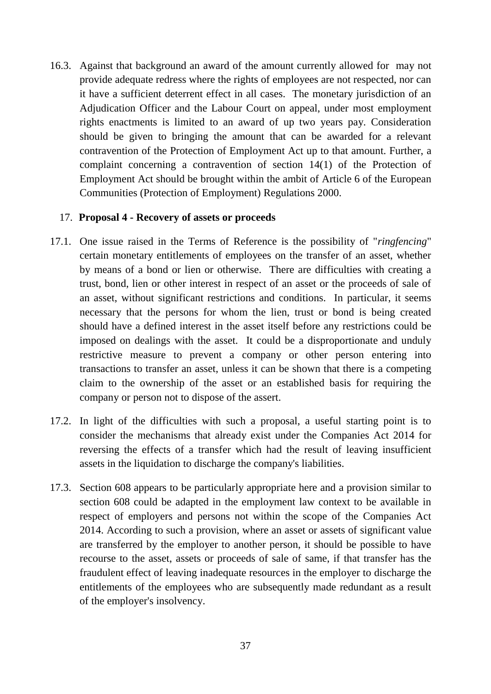16.3. Against that background an award of the amount currently allowed for may not provide adequate redress where the rights of employees are not respected, nor can it have a sufficient deterrent effect in all cases. The monetary jurisdiction of an Adjudication Officer and the Labour Court on appeal, under most employment rights enactments is limited to an award of up two years pay. Consideration should be given to bringing the amount that can be awarded for a relevant contravention of the Protection of Employment Act up to that amount. Further, a complaint concerning a contravention of section 14(1) of the Protection of Employment Act should be brought within the ambit of Article 6 of the European Communities (Protection of Employment) Regulations 2000.

### 17. **Proposal 4 - Recovery of assets or proceeds**

- 17.1. One issue raised in the Terms of Reference is the possibility of "*ringfencing*" certain monetary entitlements of employees on the transfer of an asset, whether by means of a bond or lien or otherwise. There are difficulties with creating a trust, bond, lien or other interest in respect of an asset or the proceeds of sale of an asset, without significant restrictions and conditions. In particular, it seems necessary that the persons for whom the lien, trust or bond is being created should have a defined interest in the asset itself before any restrictions could be imposed on dealings with the asset. It could be a disproportionate and unduly restrictive measure to prevent a company or other person entering into transactions to transfer an asset, unless it can be shown that there is a competing claim to the ownership of the asset or an established basis for requiring the company or person not to dispose of the assert.
- 17.2. In light of the difficulties with such a proposal, a useful starting point is to consider the mechanisms that already exist under the Companies Act 2014 for reversing the effects of a transfer which had the result of leaving insufficient assets in the liquidation to discharge the company's liabilities.
- 17.3. Section 608 appears to be particularly appropriate here and a provision similar to section 608 could be adapted in the employment law context to be available in respect of employers and persons not within the scope of the Companies Act 2014. According to such a provision, where an asset or assets of significant value are transferred by the employer to another person, it should be possible to have recourse to the asset, assets or proceeds of sale of same, if that transfer has the fraudulent effect of leaving inadequate resources in the employer to discharge the entitlements of the employees who are subsequently made redundant as a result of the employer's insolvency.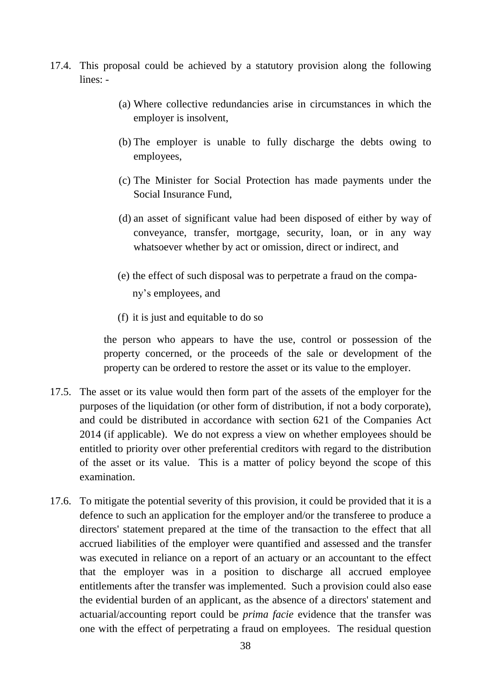- 17.4. This proposal could be achieved by a statutory provision along the following lines: -
	- (a) Where collective redundancies arise in circumstances in which the employer is insolvent,
	- (b) The employer is unable to fully discharge the debts owing to employees,
	- (c) The Minister for Social Protection has made payments under the Social Insurance Fund,
	- (d) an asset of significant value had been disposed of either by way of conveyance, transfer, mortgage, security, loan, or in any way whatsoever whether by act or omission, direct or indirect, and
	- (e) the effect of such disposal was to perpetrate a fraud on the company's employees, and
	- (f) it is just and equitable to do so

the person who appears to have the use, control or possession of the property concerned, or the proceeds of the sale or development of the property can be ordered to restore the asset or its value to the employer.

- 17.5. The asset or its value would then form part of the assets of the employer for the purposes of the liquidation (or other form of distribution, if not a body corporate), and could be distributed in accordance with section 621 of the Companies Act 2014 (if applicable). We do not express a view on whether employees should be entitled to priority over other preferential creditors with regard to the distribution of the asset or its value. This is a matter of policy beyond the scope of this examination.
- 17.6. To mitigate the potential severity of this provision, it could be provided that it is a defence to such an application for the employer and/or the transferee to produce a directors' statement prepared at the time of the transaction to the effect that all accrued liabilities of the employer were quantified and assessed and the transfer was executed in reliance on a report of an actuary or an accountant to the effect that the employer was in a position to discharge all accrued employee entitlements after the transfer was implemented. Such a provision could also ease the evidential burden of an applicant, as the absence of a directors' statement and actuarial/accounting report could be *prima facie* evidence that the transfer was one with the effect of perpetrating a fraud on employees. The residual question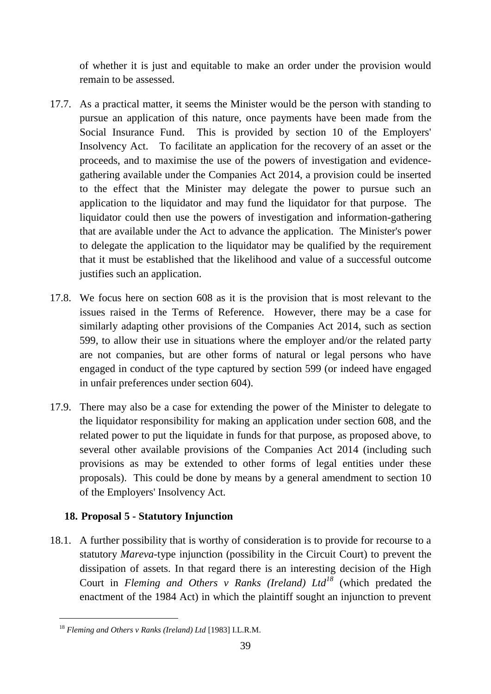of whether it is just and equitable to make an order under the provision would remain to be assessed.

- 17.7. As a practical matter, it seems the Minister would be the person with standing to pursue an application of this nature, once payments have been made from the Social Insurance Fund. This is provided by section 10 of the Employers' Insolvency Act. To facilitate an application for the recovery of an asset or the proceeds, and to maximise the use of the powers of investigation and evidencegathering available under the Companies Act 2014, a provision could be inserted to the effect that the Minister may delegate the power to pursue such an application to the liquidator and may fund the liquidator for that purpose. The liquidator could then use the powers of investigation and information-gathering that are available under the Act to advance the application. The Minister's power to delegate the application to the liquidator may be qualified by the requirement that it must be established that the likelihood and value of a successful outcome justifies such an application.
- 17.8. We focus here on section 608 as it is the provision that is most relevant to the issues raised in the Terms of Reference. However, there may be a case for similarly adapting other provisions of the Companies Act 2014, such as section 599, to allow their use in situations where the employer and/or the related party are not companies, but are other forms of natural or legal persons who have engaged in conduct of the type captured by section 599 (or indeed have engaged in unfair preferences under section 604).
- 17.9. There may also be a case for extending the power of the Minister to delegate to the liquidator responsibility for making an application under section 608, and the related power to put the liquidate in funds for that purpose, as proposed above, to several other available provisions of the Companies Act 2014 (including such provisions as may be extended to other forms of legal entities under these proposals). This could be done by means by a general amendment to section 10 of the Employers' Insolvency Act.

# **18. Proposal 5 - Statutory Injunction**

18.1. A further possibility that is worthy of consideration is to provide for recourse to a statutory *Mareva-*type injunction (possibility in the Circuit Court) to prevent the dissipation of assets. In that regard there is an interesting decision of the High Court in *Fleming and Others v Ranks (Ireland) Ltd<sup>18</sup>* (which predated the enactment of the 1984 Act) in which the plaintiff sought an injunction to prevent

<sup>18</sup> *Fleming and Others v Ranks (Ireland) Ltd* [1983] I.L.R.M.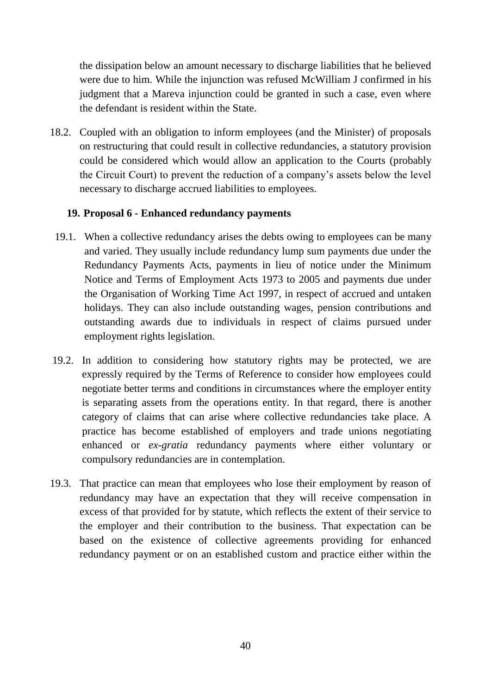the dissipation below an amount necessary to discharge liabilities that he believed were due to him. While the injunction was refused McWilliam J confirmed in his judgment that a Mareva injunction could be granted in such a case, even where the defendant is resident within the State.

18.2. Coupled with an obligation to inform employees (and the Minister) of proposals on restructuring that could result in collective redundancies, a statutory provision could be considered which would allow an application to the Courts (probably the Circuit Court) to prevent the reduction of a company's assets below the level necessary to discharge accrued liabilities to employees.

### **19. Proposal 6 - Enhanced redundancy payments**

- 19.1. When a collective redundancy arises the debts owing to employees can be many and varied. They usually include redundancy lump sum payments due under the Redundancy Payments Acts, payments in lieu of notice under the Minimum Notice and Terms of Employment Acts 1973 to 2005 and payments due under the Organisation of Working Time Act 1997, in respect of accrued and untaken holidays. They can also include outstanding wages, pension contributions and outstanding awards due to individuals in respect of claims pursued under employment rights legislation.
- 19.2. In addition to considering how statutory rights may be protected, we are expressly required by the Terms of Reference to consider how employees could negotiate better terms and conditions in circumstances where the employer entity is separating assets from the operations entity. In that regard, there is another category of claims that can arise where collective redundancies take place. A practice has become established of employers and trade unions negotiating enhanced or *ex-gratia* redundancy payments where either voluntary or compulsory redundancies are in contemplation.
- 19.3. That practice can mean that employees who lose their employment by reason of redundancy may have an expectation that they will receive compensation in excess of that provided for by statute, which reflects the extent of their service to the employer and their contribution to the business. That expectation can be based on the existence of collective agreements providing for enhanced redundancy payment or on an established custom and practice either within the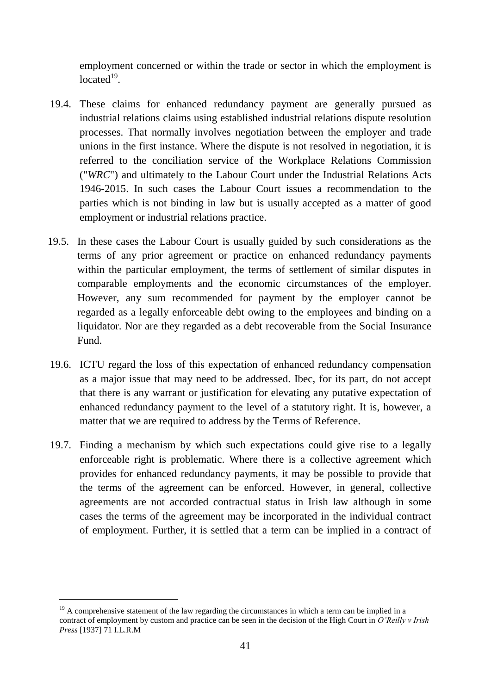employment concerned or within the trade or sector in which the employment is located $19$ .

- 19.4. These claims for enhanced redundancy payment are generally pursued as industrial relations claims using established industrial relations dispute resolution processes. That normally involves negotiation between the employer and trade unions in the first instance. Where the dispute is not resolved in negotiation, it is referred to the conciliation service of the Workplace Relations Commission ("*WRC*") and ultimately to the Labour Court under the Industrial Relations Acts 1946-2015. In such cases the Labour Court issues a recommendation to the parties which is not binding in law but is usually accepted as a matter of good employment or industrial relations practice.
- 19.5. In these cases the Labour Court is usually guided by such considerations as the terms of any prior agreement or practice on enhanced redundancy payments within the particular employment, the terms of settlement of similar disputes in comparable employments and the economic circumstances of the employer. However, any sum recommended for payment by the employer cannot be regarded as a legally enforceable debt owing to the employees and binding on a liquidator. Nor are they regarded as a debt recoverable from the Social Insurance Fund.
- 19.6. ICTU regard the loss of this expectation of enhanced redundancy compensation as a major issue that may need to be addressed. Ibec, for its part, do not accept that there is any warrant or justification for elevating any putative expectation of enhanced redundancy payment to the level of a statutory right. It is, however, a matter that we are required to address by the Terms of Reference.
- 19.7. Finding a mechanism by which such expectations could give rise to a legally enforceable right is problematic. Where there is a collective agreement which provides for enhanced redundancy payments, it may be possible to provide that the terms of the agreement can be enforced. However, in general, collective agreements are not accorded contractual status in Irish law although in some cases the terms of the agreement may be incorporated in the individual contract of employment. Further, it is settled that a term can be implied in a contract of

 $19$  A comprehensive statement of the law regarding the circumstances in which a term can be implied in a contract of employment by custom and practice can be seen in the decision of the High Court in *O'Reilly v Irish Press* [1937] 71 I.L.R.M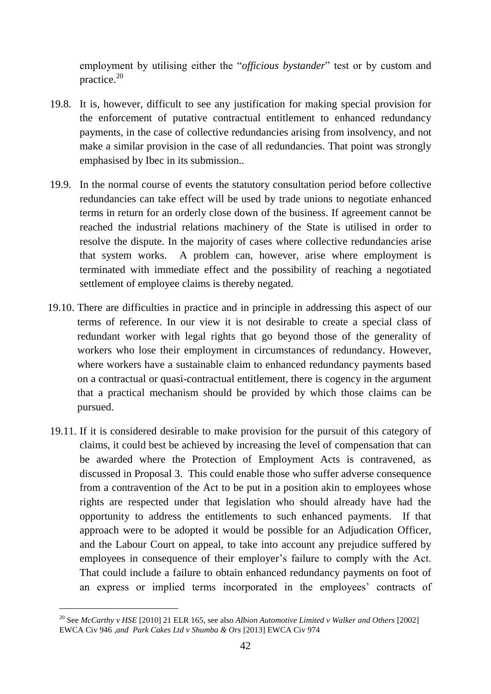employment by utilising either the "*officious bystander*" test or by custom and practice.<sup>20</sup>

- 19.8. It is, however, difficult to see any justification for making special provision for the enforcement of putative contractual entitlement to enhanced redundancy payments, in the case of collective redundancies arising from insolvency, and not make a similar provision in the case of all redundancies. That point was strongly emphasised by Ibec in its submission..
- 19.9. In the normal course of events the statutory consultation period before collective redundancies can take effect will be used by trade unions to negotiate enhanced terms in return for an orderly close down of the business. If agreement cannot be reached the industrial relations machinery of the State is utilised in order to resolve the dispute. In the majority of cases where collective redundancies arise that system works. A problem can, however, arise where employment is terminated with immediate effect and the possibility of reaching a negotiated settlement of employee claims is thereby negated.
- 19.10. There are difficulties in practice and in principle in addressing this aspect of our terms of reference. In our view it is not desirable to create a special class of redundant worker with legal rights that go beyond those of the generality of workers who lose their employment in circumstances of redundancy. However, where workers have a sustainable claim to enhanced redundancy payments based on a contractual or quasi-contractual entitlement, there is cogency in the argument that a practical mechanism should be provided by which those claims can be pursued.
- 19.11. If it is considered desirable to make provision for the pursuit of this category of claims, it could best be achieved by increasing the level of compensation that can be awarded where the Protection of Employment Acts is contravened, as discussed in Proposal 3. This could enable those who suffer adverse consequence from a contravention of the Act to be put in a position akin to employees whose rights are respected under that legislation who should already have had the opportunity to address the entitlements to such enhanced payments. If that approach were to be adopted it would be possible for an Adjudication Officer, and the Labour Court on appeal, to take into account any prejudice suffered by employees in consequence of their employer's failure to comply with the Act. That could include a failure to obtain enhanced redundancy payments on foot of an express or implied terms incorporated in the employees' contracts of

<sup>20</sup> See *McCarthy v HSE* [2010] 21 ELR 165, see also *Albion Automotive Limited v Walker and Others* [2002] EWCA Civ 946 *,and Park Cakes Ltd v Shumba & Ors* [2013] EWCA Civ 974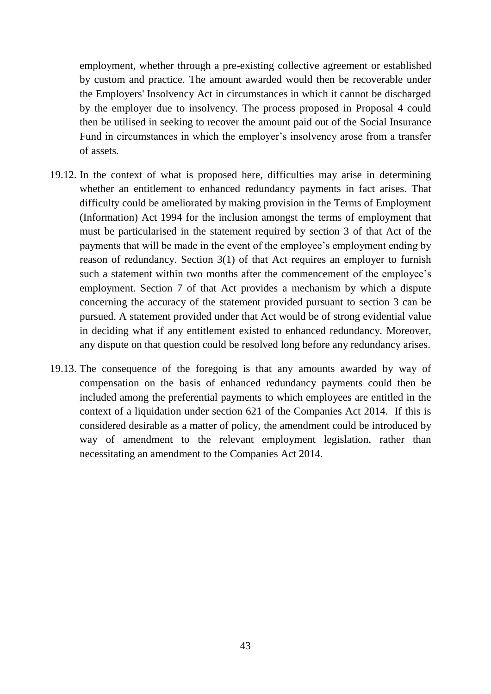employment, whether through a pre-existing collective agreement or established by custom and practice. The amount awarded would then be recoverable under the Employers' Insolvency Act in circumstances in which it cannot be discharged by the employer due to insolvency. The process proposed in Proposal 4 could then be utilised in seeking to recover the amount paid out of the Social Insurance Fund in circumstances in which the employer's insolvency arose from a transfer of assets.

- 19.12. In the context of what is proposed here, difficulties may arise in determining whether an entitlement to enhanced redundancy payments in fact arises. That difficulty could be ameliorated by making provision in the Terms of Employment (Information) Act 1994 for the inclusion amongst the terms of employment that must be particularised in the statement required by section 3 of that Act of the payments that will be made in the event of the employee's employment ending by reason of redundancy. Section 3(1) of that Act requires an employer to furnish such a statement within two months after the commencement of the employee's employment. Section 7 of that Act provides a mechanism by which a dispute concerning the accuracy of the statement provided pursuant to section 3 can be pursued. A statement provided under that Act would be of strong evidential value in deciding what if any entitlement existed to enhanced redundancy. Moreover, any dispute on that question could be resolved long before any redundancy arises.
- 19.13. The consequence of the foregoing is that any amounts awarded by way of compensation on the basis of enhanced redundancy payments could then be included among the preferential payments to which employees are entitled in the context of a liquidation under section 621 of the Companies Act 2014. If this is considered desirable as a matter of policy, the amendment could be introduced by way of amendment to the relevant employment legislation, rather than necessitating an amendment to the Companies Act 2014.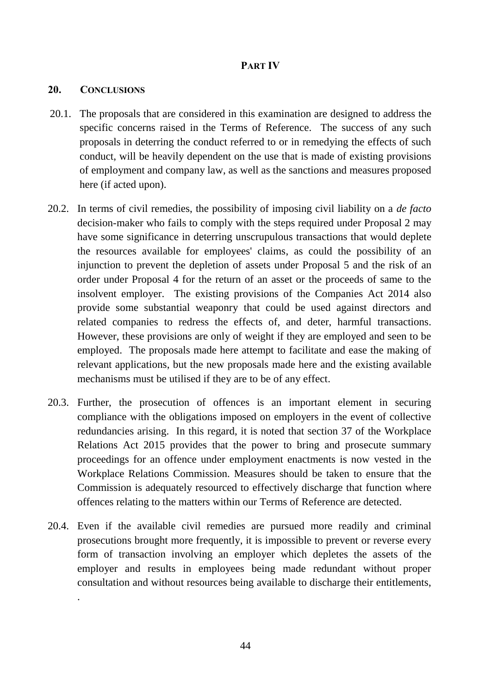## **PART IV**

### **20. CONCLUSIONS**

.

- 20.1. The proposals that are considered in this examination are designed to address the specific concerns raised in the Terms of Reference. The success of any such proposals in deterring the conduct referred to or in remedying the effects of such conduct, will be heavily dependent on the use that is made of existing provisions of employment and company law, as well as the sanctions and measures proposed here (if acted upon).
- 20.2. In terms of civil remedies, the possibility of imposing civil liability on a *de facto* decision-maker who fails to comply with the steps required under Proposal 2 may have some significance in deterring unscrupulous transactions that would deplete the resources available for employees' claims, as could the possibility of an injunction to prevent the depletion of assets under Proposal 5 and the risk of an order under Proposal 4 for the return of an asset or the proceeds of same to the insolvent employer. The existing provisions of the Companies Act 2014 also provide some substantial weaponry that could be used against directors and related companies to redress the effects of, and deter, harmful transactions. However, these provisions are only of weight if they are employed and seen to be employed. The proposals made here attempt to facilitate and ease the making of relevant applications, but the new proposals made here and the existing available mechanisms must be utilised if they are to be of any effect.
- 20.3. Further, the prosecution of offences is an important element in securing compliance with the obligations imposed on employers in the event of collective redundancies arising. In this regard, it is noted that section 37 of the Workplace Relations Act 2015 provides that the power to bring and prosecute summary proceedings for an offence under employment enactments is now vested in the Workplace Relations Commission. Measures should be taken to ensure that the Commission is adequately resourced to effectively discharge that function where offences relating to the matters within our Terms of Reference are detected.
- 20.4. Even if the available civil remedies are pursued more readily and criminal prosecutions brought more frequently, it is impossible to prevent or reverse every form of transaction involving an employer which depletes the assets of the employer and results in employees being made redundant without proper consultation and without resources being available to discharge their entitlements,